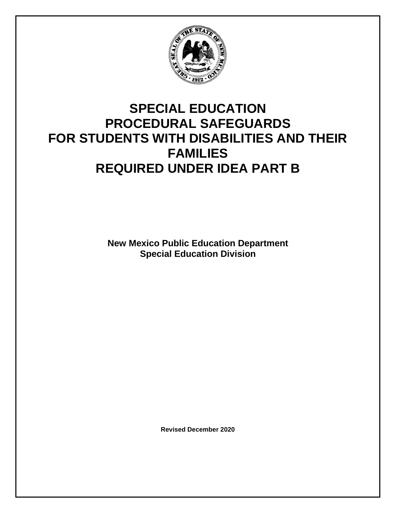

# **SPECIAL EDUCATION PROCEDURAL SAFEGUARDS FOR STUDENTS WITH DISABILITIES AND THEIR FAMILIES REQUIRED UNDER IDEA PART B**

**New Mexico Public Education Department Special Education Division**

**Revised December 2020**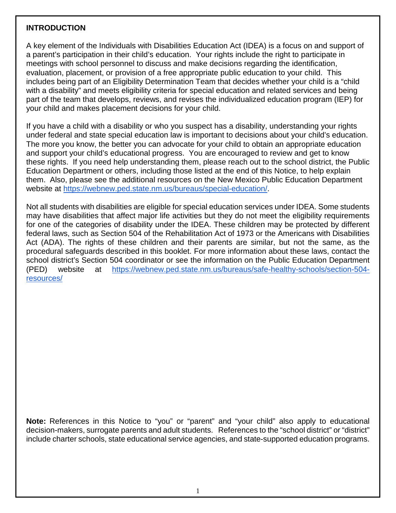#### **INTRODUCTION**

A key element of the Individuals with Disabilities Education Act (IDEA) is a focus on and support of a parent's participation in their child's education. Your rights include the right to participate in meetings with school personnel to discuss and make decisions regarding the identification, evaluation, placement, or provision of a free appropriate public education to your child. This includes being part of an Eligibility Determination Team that decides whether your child is a "child with a disability" and meets eligibility criteria for special education and related services and being part of the team that develops, reviews, and revises the individualized education program (IEP) for your child and makes placement decisions for your child.

If you have a child with a disability or who you suspect has a disability, understanding your rights under federal and state special education law is important to decisions about your child's education. The more you know, the better you can advocate for your child to obtain an appropriate education and support your child's educational progress. You are encouraged to review and get to know these rights. If you need help understanding them, please reach out to the school district, the Public Education Department or others, including those listed at the end of this Notice, to help explain them. Also, please see the additional resources on the New Mexico Public Education Department website at [https://webnew.ped.state.nm.us/bureaus/special-education/.](https://webnew.ped.state.nm.us/bureaus/special-education/)

Not all students with disabilities are eligible for special education services under IDEA. Some students may have disabilities that affect major life activities but they do not meet the eligibility requirements for one of the categories of disability under the IDEA. These children may be protected by different federal laws, such as Section 504 of the Rehabilitation Act of 1973 or the Americans with Disabilities Act (ADA). The rights of these children and their parents are similar, but not the same, as the procedural safeguards described in this booklet. For more information about these laws, contact the school district's Section 504 coordinator or see the information on the Public Education Department (PED) website at [https://webnew.ped.state.nm.us/bureaus/safe-healthy-schools/section-504](https://webnew.ped.state.nm.us/bureaus/safe-healthy-schools/section-504-resources/) [resources/](https://webnew.ped.state.nm.us/bureaus/safe-healthy-schools/section-504-resources/)

**Note:** References in this Notice to "you" or "parent" and "your child" also apply to educational decision-makers, surrogate parents and adult students. References to the "school district" or "district" include charter schools, state educational service agencies, and state-supported education programs.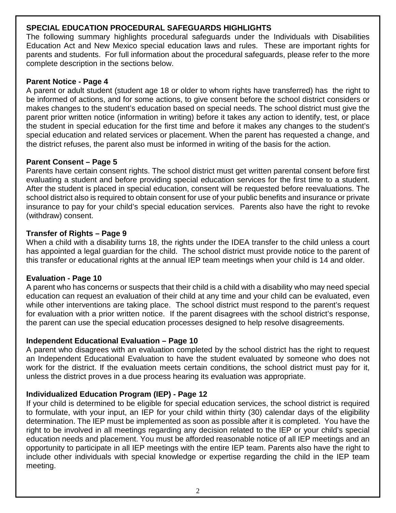#### **SPECIAL EDUCATION PROCEDURAL SAFEGUARDS HIGHLIGHTS**

The following summary highlights procedural safeguards under the Individuals with Disabilities Education Act and New Mexico special education laws and rules. These are important rights for parents and students. For full information about the procedural safeguards, please refer to the more complete description in the sections below.

### **Parent Notice - Page 4**

A parent or adult student (student age 18 or older to whom rights have transferred) has the right to be informed of actions, and for some actions, to give consent before the school district considers or makes changes to the student's education based on special needs. The school district must give the parent prior written notice (information in writing) before it takes any action to identify, test, or place the student in special education for the first time and before it makes any changes to the student's special education and related services or placement. When the parent has requested a change, and the district refuses, the parent also must be informed in writing of the basis for the action.

# **Parent Consent – Page 5**

Parents have certain consent rights. The school district must get written parental consent before first evaluating a student and before providing special education services for the first time to a student. After the student is placed in special education, consent will be requested before reevaluations. The school district also is required to obtain consent for use of your public benefits and insurance or private insurance to pay for your child's special education services. Parents also have the right to revoke (withdraw) consent.

# **Transfer of Rights – Page 9**

When a child with a disability turns 18, the rights under the IDEA transfer to the child unless a court has appointed a legal guardian for the child. The school district must provide notice to the parent of this transfer or educational rights at the annual IEP team meetings when your child is 14 and older.

# **Evaluation - Page 10**

A parent who has concerns or suspects that their child is a child with a disability who may need special education can request an evaluation of their child at any time and your child can be evaluated, even while other interventions are taking place. The school district must respond to the parent's request for evaluation with a prior written notice. If the parent disagrees with the school district's response, the parent can use the special education processes designed to help resolve disagreements.

# **Independent Educational Evaluation – Page 10**

A parent who disagrees with an evaluation completed by the school district has the right to request an Independent Educational Evaluation to have the student evaluated by someone who does not work for the district. If the evaluation meets certain conditions, the school district must pay for it, unless the district proves in a due process hearing its evaluation was appropriate.

# **Individualized Education Program (IEP) - Page 12**

If your child is determined to be eligible for special education services, the school district is required to formulate, with your input, an IEP for your child within thirty (30) calendar days of the eligibility determination. The IEP must be implemented as soon as possible after it is completed. You have the right to be involved in all meetings regarding any decision related to the IEP or your child's special education needs and placement. You must be afforded reasonable notice of all IEP meetings and an opportunity to participate in all IEP meetings with the entire IEP team. Parents also have the right to include other individuals with special knowledge or expertise regarding the child in the IEP team meeting.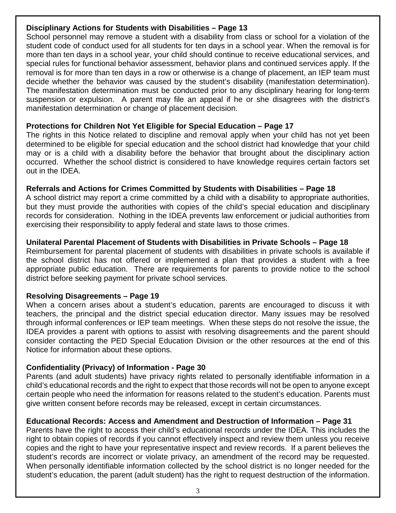#### **Disciplinary Actions for Students with Disabilities – Page 13**

School personnel may remove a student with a disability from class or school for a violation of the student code of conduct used for all students for ten days in a school year. When the removal is for more than ten days in a school year, your child should continue to receive educational services, and special rules for functional behavior assessment, behavior plans and continued services apply. If the removal is for more than ten days in a row or otherwise is a change of placement, an IEP team must decide whether the behavior was caused by the student's disability (manifestation determination). The manifestation determination must be conducted prior to any disciplinary hearing for long-term suspension or expulsion. A parent may file an appeal if he or she disagrees with the district's manifestation determination or change of placement decision.

#### **Protections for Children Not Yet Eligible for Special Education – Page 17**

The rights in this Notice related to discipline and removal apply when your child has not yet been determined to be eligible for special education and the school district had knowledge that your child may or is a child with a disability before the behavior that brought about the disciplinary action occurred. Whether the school district is considered to have knowledge requires certain factors set out in the IDEA.

# **Referrals and Actions for Crimes Committed by Students with Disabilities – Page 18**

A school district may report a crime committed by a child with a disability to appropriate authorities, but they must provide the authorities with copies of the child's special education and disciplinary records for consideration. Nothing in the IDEA prevents law enforcement or judicial authorities from exercising their responsibility to apply federal and state laws to those crimes.

# **Unilateral Parental Placement of Students with Disabilities in Private Schools – Page 18**

Reimbursement for parental placement of students with disabilities in private schools is available if the school district has not offered or implemented a plan that provides a student with a free appropriate public education. There are requirements for parents to provide notice to the school district before seeking payment for private school services.

#### **Resolving Disagreements – Page 19**

When a concern arises about a student's education, parents are encouraged to discuss it with teachers, the principal and the district special education director. Many issues may be resolved through informal conferences or IEP team meetings. When these steps do not resolve the issue, the IDEA provides a parent with options to assist with resolving disagreements and the parent should consider contacting the PED Special Education Division or the other resources at the end of this Notice for information about these options.

#### **Confidentiality (Privacy) of Information - Page 30**

Parents (and adult students) have privacy rights related to personally identifiable information in a child's educational records and the right to expect that those records will not be open to anyone except certain people who need the information for reasons related to the student's education. Parents must give written consent before records may be released, except in certain circumstances.

#### **Educational Records: Access and Amendment and Destruction of Information – Page 31**

Parents have the right to access their child's educational records under the IDEA. This includes the right to obtain copies of records if you cannot effectively inspect and review them unless you receive copies and the right to have your representative inspect and review records. If a parent believes the student's records are incorrect or violate privacy, an amendment of the record may be requested. When personally identifiable information collected by the school district is no longer needed for the student's education, the parent (adult student) has the right to request destruction of the information.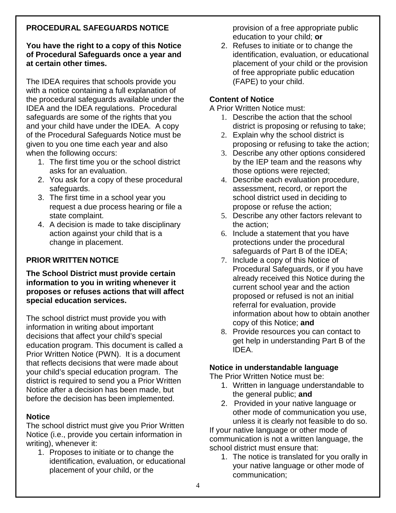# **PROCEDURAL SAFEGUARDS NOTICE**

#### **You have the right to a copy of this Notice of Procedural Safeguards once a year and at certain other times.**

The IDEA requires that schools provide you with a notice containing a full explanation of the procedural safeguards available under the IDEA and the IDEA regulations. Procedural safeguards are some of the rights that you and your child have under the IDEA. A copy of the Procedural Safeguards Notice must be given to you one time each year and also when the following occurs:

- 1. The first time you or the school district asks for an evaluation.
- 2. You ask for a copy of these procedural safeguards.
- 3. The first time in a school year you request a due process hearing or file a state complaint.
- 4. A decision is made to take disciplinary action against your child that is a change in placement.

### **PRIOR WRITTEN NOTICE**

#### **The School District must provide certain information to you in writing whenever it proposes or refuses actions that will affect special education services.**

The school district must provide you with information in writing about important decisions that affect your child's special education program. This document is called a Prior Written Notice (PWN). It is a document that reflects decisions that were made about your child's special education program. The district is required to send you a Prior Written Notice after a decision has been made, but before the decision has been implemented.

#### **Notice**

The school district must give you Prior Written Notice (i.e., provide you certain information in writing), whenever it:

1. Proposes to initiate or to change the identification, evaluation, or educational placement of your child, or the

provision of a free appropriate public education to your child; **or** 

2. Refuses to initiate or to change the identification, evaluation, or educational placement of your child or the provision of free appropriate public education (FAPE) to your child.

#### **Content of Notice**

A Prior Written Notice must:

- 1. Describe the action that the school district is proposing or refusing to take;
- 2. Explain why the school district is proposing or refusing to take the action;
- 3. Describe any other options considered by the IEP team and the reasons why those options were rejected;
- 4. Describe each evaluation procedure, assessment, record, or report the school district used in deciding to propose or refuse the action;
- 5. Describe any other factors relevant to the action;
- 6. Include a statement that you have protections under the procedural safeguards of Part B of the IDEA;
- 7. Include a copy of this Notice of Procedural Safeguards, or if you have already received this Notice during the current school year and the action proposed or refused is not an initial referral for evaluation, provide information about how to obtain another copy of this Notice; **and**
- 8. Provide resources you can contact to get help in understanding Part B of the IDEA.

#### **Notice in understandable language**

The Prior Written Notice must be:

- 1. Written in language understandable to the general public; **and**
- 2. Provided in your native language or other mode of communication you use, unless it is clearly not feasible to do so.

If your native language or other mode of communication is not a written language, the school district must ensure that:

1. The notice is translated for you orally in your native language or other mode of communication;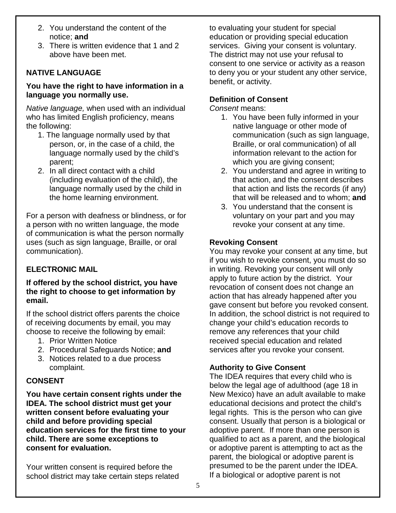- 2. You understand the content of the notice; **and**
- 3. There is written evidence that 1 and 2 above have been met.

# **NATIVE LANGUAGE**

#### **You have the right to have information in a language you normally use.**

*Native language,* when used with an individual who has limited English proficiency, means the following:

- 1. The language normally used by that person, or, in the case of a child, the language normally used by the child's parent;
- 2. In all direct contact with a child (including evaluation of the child), the language normally used by the child in the home learning environment.

For a person with deafness or blindness, or for a person with no written language, the mode of communication is what the person normally uses (such as sign language, Braille, or oral communication).

#### **ELECTRONIC MAIL**

#### **If offered by the school district, you have the right to choose to get information by email.**

If the school district offers parents the choice of receiving documents by email, you may choose to receive the following by email:

- 1. Prior Written Notice
- 2. Procedural Safeguards Notice; **and**
- 3. Notices related to a due process complaint.

#### **CONSENT**

**You have certain consent rights under the IDEA. The school district must get your written consent before evaluating your child and before providing special education services for the first time to your child. There are some exceptions to consent for evaluation.**

Your written consent is required before the school district may take certain steps related to evaluating your student for special education or providing special education services. Giving your consent is voluntary. The district may not use your refusal to consent to one service or activity as a reason to deny you or your student any other service, benefit, or activity.

#### **Definition of Consent**

*Consent* means:

- 1. You have been fully informed in your native language or other mode of communication (such as sign language, Braille, or oral communication) of all information relevant to the action for which you are giving consent;
- 2. You understand and agree in writing to that action, and the consent describes that action and lists the records (if any) that will be released and to whom; **and**
- 3. You understand that the consent is voluntary on your part and you may revoke your consent at any time.

# **Revoking Consent**

You may revoke your consent at any time, but if you wish to revoke consent, you must do so in writing. Revoking your consent will only apply to future action by the district. Your revocation of consent does not change an action that has already happened after you gave consent but before you revoked consent. In addition, the school district is not required to change your child's education records to remove any references that your child received special education and related services after you revoke your consent.

# **Authority to Give Consent**

The IDEA requires that every child who is below the legal age of adulthood (age 18 in New Mexico) have an adult available to make educational decisions and protect the child's legal rights. This is the person who can give consent. Usually that person is a biological or adoptive parent. If more than one person is qualified to act as a parent, and the biological or adoptive parent is attempting to act as the parent, the biological or adoptive parent is presumed to be the parent under the IDEA. If a biological or adoptive parent is not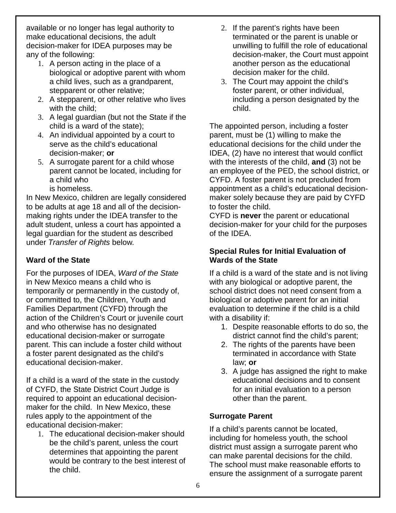available or no longer has legal authority to make educational decisions, the adult decision-maker for IDEA purposes may be any of the following:

- 1. A person acting in the place of a biological or adoptive parent with whom a child lives, such as a grandparent, stepparent or other relative;
- 2. A stepparent, or other relative who lives with the child;
- 3. A legal guardian (but not the State if the child is a ward of the state);
- 4. An individual appointed by a court to serve as the child's educational decision-maker; **or**
- 5. A surrogate parent for a child whose parent cannot be located, including for a child who
	- is homeless.

In New Mexico, children are legally considered to be adults at age 18 and all of the decisionmaking rights under the IDEA transfer to the adult student, unless a court has appointed a legal guardian for the student as described under *Transfer of Rights* below*.*

# **Ward of the State**

For the purposes of IDEA, *Ward of the State* in New Mexico means a child who is temporarily or permanently in the custody of, or committed to, the Children, Youth and Families Department (CYFD) through the action of the Children's Court or juvenile court and who otherwise has no designated educational decision-maker or surrogate parent. This can include a foster child without a foster parent designated as the child's educational decision-maker.

If a child is a ward of the state in the custody of CYFD, the State District Court Judge is required to appoint an educational decisionmaker for the child. In New Mexico, these rules apply to the appointment of the educational decision-maker:

1. The educational decision-maker should be the child's parent, unless the court determines that appointing the parent would be contrary to the best interest of the child.

- 2. If the parent's rights have been terminated or the parent is unable or unwilling to fulfill the role of educational decision-maker, the Court must appoint another person as the educational decision maker for the child.
- 3. The Court may appoint the child's foster parent, or other individual, including a person designated by the child.

The appointed person, including a foster parent, must be (1) willing to make the educational decisions for the child under the IDEA, (2) have no interest that would conflict with the interests of the child, **and** (3) not be an employee of the PED, the school district, or CYFD. A foster parent is not precluded from appointment as a child's educational decisionmaker solely because they are paid by CYFD to foster the child.

CYFD is **never** the parent or educational decision-maker for your child for the purposes of the IDEA.

#### **Special Rules for Initial Evaluation of Wards of the State**

If a child is a ward of the state and is not living with any biological or adoptive parent, the school district does not need consent from a biological or adoptive parent for an initial evaluation to determine if the child is a child with a disability if:

- 1. Despite reasonable efforts to do so, the district cannot find the child's parent;
- 2. The rights of the parents have been terminated in accordance with State law; **or**
- 3. A judge has assigned the right to make educational decisions and to consent for an initial evaluation to a person other than the parent.

#### **Surrogate Parent**

If a child's parents cannot be located, including for homeless youth, the school district must assign a surrogate parent who can make parental decisions for the child. The school must make reasonable efforts to ensure the assignment of a surrogate parent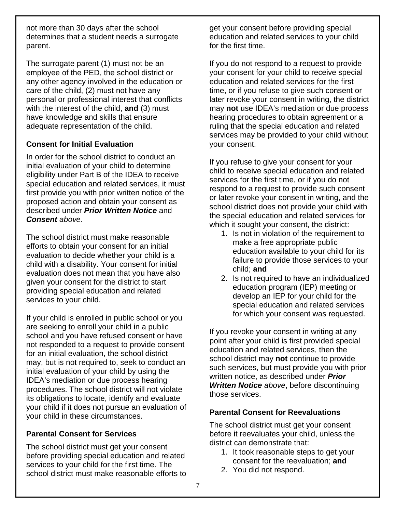not more than 30 days after the school determines that a student needs a surrogate parent.

The surrogate parent (1) must not be an employee of the PED, the school district or any other agency involved in the education or care of the child, (2) must not have any personal or professional interest that conflicts with the interest of the child, **and** (3) must have knowledge and skills that ensure adequate representation of the child.

# **Consent for Initial Evaluation**

In order for the school district to conduct an initial evaluation of your child to determine eligibility under Part B of the IDEA to receive special education and related services, it must first provide you with prior written notice of the proposed action and obtain your consent as described under *Prior Written Notice* and *Consent above.*

The school district must make reasonable efforts to obtain your consent for an initial evaluation to decide whether your child is a child with a disability. Your consent for initial evaluation does not mean that you have also given your consent for the district to start providing special education and related services to your child.

If your child is enrolled in public school or you are seeking to enroll your child in a public school and you have refused consent or have not responded to a request to provide consent for an initial evaluation, the school district may, but is not required to, seek to conduct an initial evaluation of your child by using the IDEA's mediation or due process hearing procedures. The school district will not violate its obligations to locate, identify and evaluate your child if it does not pursue an evaluation of your child in these circumstances.

# **Parental Consent for Services**

The school district must get your consent before providing special education and related services to your child for the first time. The school district must make reasonable efforts to get your consent before providing special education and related services to your child for the first time.

If you do not respond to a request to provide your consent for your child to receive special education and related services for the first time, or if you refuse to give such consent or later revoke your consent in writing, the district may **not** use IDEA's mediation or due process hearing procedures to obtain agreement or a ruling that the special education and related services may be provided to your child without your consent.

If you refuse to give your consent for your child to receive special education and related services for the first time, or if you do not respond to a request to provide such consent or later revoke your consent in writing, and the school district does not provide your child with the special education and related services for which it sought your consent, the district:

- 1. Is not in violation of the requirement to make a free appropriate public education available to your child for its failure to provide those services to your child; **and**
- 2. Is not required to have an individualized education program (IEP) meeting or develop an IEP for your child for the special education and related services for which your consent was requested.

If you revoke your consent in writing at any point after your child is first provided special education and related services, then the school district may **not** continue to provide such services, but must provide you with prior written notice, as described under *Prior Written Notice above*, before discontinuing those services.

# **Parental Consent for Reevaluations**

The school district must get your consent before it reevaluates your child, unless the district can demonstrate that:

- 1. It took reasonable steps to get your consent for the reevaluation; **and**
- 2. You did not respond.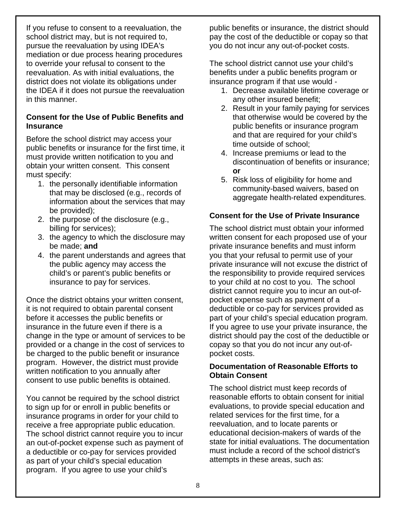If you refuse to consent to a reevaluation, the school district may, but is not required to, pursue the reevaluation by using IDEA's mediation or due process hearing procedures to override your refusal to consent to the reevaluation. As with initial evaluations, the district does not violate its obligations under the IDEA if it does not pursue the reevaluation in this manner.

#### **Consent for the Use of Public Benefits and Insurance**

Before the school district may access your public benefits or insurance for the first time, it must provide written notification to you and obtain your written consent. This consent must specify:

- 1. the personally identifiable information that may be disclosed (e.g., records of information about the services that may be provided);
- 2. the purpose of the disclosure (e.g., billing for services);
- 3. the agency to which the disclosure may be made; **and**
- 4. the parent understands and agrees that the public agency may access the child's or parent's public benefits or insurance to pay for services.

Once the district obtains your written consent, it is not required to obtain parental consent before it accesses the public benefits or insurance in the future even if there is a change in the type or amount of services to be provided or a change in the cost of services to be charged to the public benefit or insurance program. However, the district must provide written notification to you annually after consent to use public benefits is obtained.

You cannot be required by the school district to sign up for or enroll in public benefits or insurance programs in order for your child to receive a free appropriate public education. The school district cannot require you to incur an out-of-pocket expense such as payment of a deductible or co-pay for services provided as part of your child's special education program. If you agree to use your child's

public benefits or insurance, the district should pay the cost of the deductible or copay so that you do not incur any out-of-pocket costs.

The school district cannot use your child's benefits under a public benefits program or insurance program if that use would -

- 1. Decrease available lifetime coverage or any other insured benefit;
- 2. Result in your family paying for services that otherwise would be covered by the public benefits or insurance program and that are required for your child's time outside of school;
- 4. Increase premiums or lead to the discontinuation of benefits or insurance; **or**
- 5. Risk loss of eligibility for home and community-based waivers, based on aggregate health-related expenditures.

# **Consent for the Use of Private Insurance**

The school district must obtain your informed written consent for each proposed use of your private insurance benefits and must inform you that your refusal to permit use of your private insurance will not excuse the district of the responsibility to provide required services to your child at no cost to you. The school district cannot require you to incur an out-ofpocket expense such as payment of a deductible or co-pay for services provided as part of your child's special education program. If you agree to use your private insurance, the district should pay the cost of the deductible or copay so that you do not incur any out-ofpocket costs.

#### **Documentation of Reasonable Efforts to Obtain Consent**

The school district must keep records of reasonable efforts to obtain consent for initial evaluations, to provide special education and related services for the first time, for a reevaluation, and to locate parents or educational decision-makers of wards of the state for initial evaluations. The documentation must include a record of the school district's attempts in these areas, such as: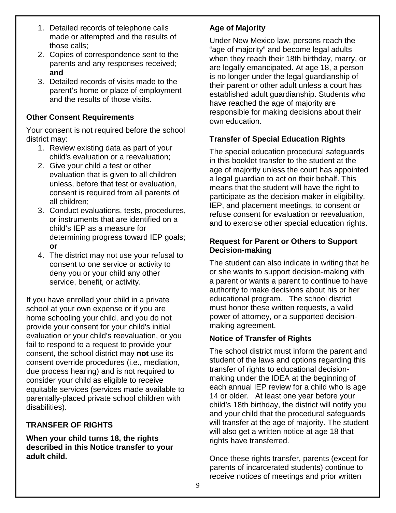- 1. Detailed records of telephone calls made or attempted and the results of those calls;
- 2. Copies of correspondence sent to the parents and any responses received; **and**
- 3. Detailed records of visits made to the parent's home or place of employment and the results of those visits.

# **Other Consent Requirements**

Your consent is not required before the school district may:

- 1. Review existing data as part of your child's evaluation or a reevaluation;
- 2. Give your child a test or other evaluation that is given to all children unless, before that test or evaluation, consent is required from all parents of all children;
- 3. Conduct evaluations, tests, procedures, or instruments that are identified on a child's IEP as a measure for determining progress toward IEP goals; **or**
- 4. The district may not use your refusal to consent to one service or activity to deny you or your child any other service, benefit, or activity.

If you have enrolled your child in a private school at your own expense or if you are home schooling your child, and you do not provide your consent for your child's initial evaluation or your child's reevaluation, or you fail to respond to a request to provide your consent, the school district may **not** use its consent override procedures (i.e., mediation, due process hearing) and is not required to consider your child as eligible to receive equitable services (services made available to parentally-placed private school children with disabilities).

# **TRANSFER OF RIGHTS**

**When your child turns 18, the rights described in this Notice transfer to your adult child.**

# **Age of Majority**

Under New Mexico law, persons reach the "age of majority" and become legal adults when they reach their 18th birthday, marry, or are legally emancipated. At age 18, a person is no longer under the legal guardianship of their parent or other adult unless a court has established adult guardianship. Students who have reached the age of majority are responsible for making decisions about their own education.

# **Transfer of Special Education Rights**

The special education procedural safeguards in this booklet transfer to the student at the age of majority unless the court has appointed a legal guardian to act on their behalf. This means that the student will have the right to participate as the decision-maker in eligibility, IEP, and placement meetings, to consent or refuse consent for evaluation or reevaluation, and to exercise other special education rights.

# **Request for Parent or Others to Support Decision-making**

The student can also indicate in writing that he or she wants to support decision-making with a parent or wants a parent to continue to have authority to make decisions about his or her educational program. The school district must honor these written requests, a valid power of attorney, or a supported decisionmaking agreement.

# **Notice of Transfer of Rights**

The school district must inform the parent and student of the laws and options regarding this transfer of rights to educational decisionmaking under the IDEA at the beginning of each annual IEP review for a child who is age 14 or older. At least one year before your child's 18th birthday, the district will notify you and your child that the procedural safeguards will transfer at the age of majority. The student will also get a written notice at age 18 that rights have transferred.

Once these rights transfer, parents (except for parents of incarcerated students) continue to receive notices of meetings and prior written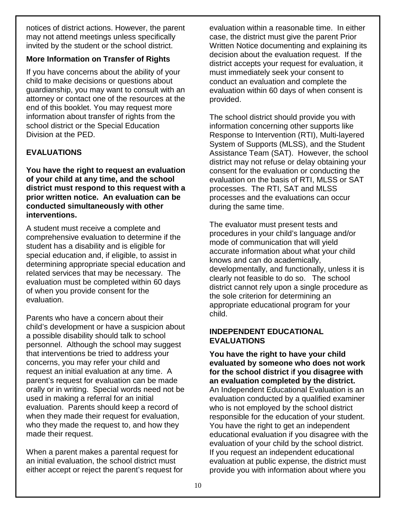notices of district actions. However, the parent may not attend meetings unless specifically invited by the student or the school district.

# **More Information on Transfer of Rights**

If you have concerns about the ability of your child to make decisions or questions about guardianship, you may want to consult with an attorney or contact one of the resources at the end of this booklet. You may request more information about transfer of rights from the school district or the Special Education Division at the PED.

# **EVALUATIONS**

**You have the right to request an evaluation of your child at any time, and the school district must respond to this request with a prior written notice. An evaluation can be conducted simultaneously with other interventions.**

A student must receive a complete and comprehensive evaluation to determine if the student has a disability and is eligible for special education and, if eligible, to assist in determining appropriate special education and related services that may be necessary. The evaluation must be completed within 60 days of when you provide consent for the evaluation.

Parents who have a concern about their child's development or have a suspicion about a possible disability should talk to school personnel. Although the school may suggest that interventions be tried to address your concerns, you may refer your child and request an initial evaluation at any time. A parent's request for evaluation can be made orally or in writing. Special words need not be used in making a referral for an initial evaluation. Parents should keep a record of when they made their request for evaluation, who they made the request to, and how they made their request.

When a parent makes a parental request for an initial evaluation, the school district must either accept or reject the parent's request for evaluation within a reasonable time. In either case, the district must give the parent Prior Written Notice documenting and explaining its decision about the evaluation request. If the district accepts your request for evaluation, it must immediately seek your consent to conduct an evaluation and complete the evaluation within 60 days of when consent is provided.

The school district should provide you with information concerning other supports like Response to Intervention (RTI), Multi-layered System of Supports (MLSS), and the Student Assistance Team (SAT). However, the school district may not refuse or delay obtaining your consent for the evaluation or conducting the evaluation on the basis of RTI, MLSS or SAT processes. The RTI, SAT and MLSS processes and the evaluations can occur during the same time.

The evaluator must present tests and procedures in your child's language and/or mode of communication that will yield accurate information about what your child knows and can do academically, developmentally, and functionally, unless it is clearly not feasible to do so. The school district cannot rely upon a single procedure as the sole criterion for determining an appropriate educational program for your child.

#### **INDEPENDENT EDUCATIONAL EVALUATIONS**

**You have the right to have your child evaluated by someone who does not work for the school district** i**f you disagree with an evaluation completed by the district.** An Independent Educational Evaluation is an evaluation conducted by a qualified examiner who is not employed by the school district responsible for the education of your student. You have the right to get an independent educational evaluation if you disagree with the evaluation of your child by the school district. If you request an independent educational evaluation at public expense, the district must provide you with information about where you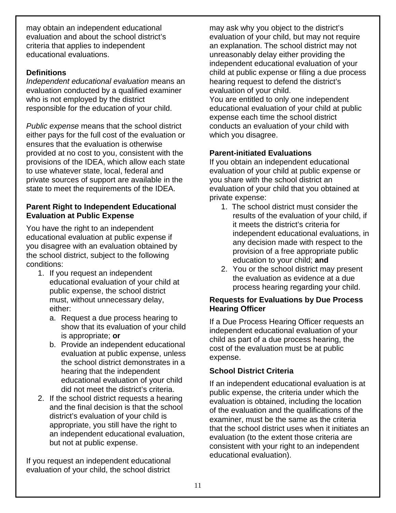may obtain an independent educational evaluation and about the school district's criteria that applies to independent educational evaluations.

# **Definitions**

*Independent educational evaluation* means an evaluation conducted by a qualified examiner who is not employed by the district responsible for the education of your child.

*Public expense* means that the school district either pays for the full cost of the evaluation or ensures that the evaluation is otherwise provided at no cost to you, consistent with the provisions of the IDEA, which allow each state to use whatever state, local, federal and private sources of support are available in the state to meet the requirements of the IDEA.

#### **Parent Right to Independent Educational Evaluation at Public Expense**

You have the right to an independent educational evaluation at public expense if you disagree with an evaluation obtained by the school district, subject to the following conditions:

- 1. If you request an independent educational evaluation of your child at public expense, the school district must, without unnecessary delay, either:
	- a. Request a due process hearing to show that its evaluation of your child is appropriate; **or**
	- b. Provide an independent educational evaluation at public expense, unless the school district demonstrates in a hearing that the independent educational evaluation of your child did not meet the district's criteria.
- 2. If the school district requests a hearing and the final decision is that the school district's evaluation of your child is appropriate, you still have the right to an independent educational evaluation, but not at public expense.

If you request an independent educational evaluation of your child, the school district

may ask why you object to the district's evaluation of your child, but may not require an explanation. The school district may not unreasonably delay either providing the independent educational evaluation of your child at public expense or filing a due process hearing request to defend the district's evaluation of your child. You are entitled to only one independent

educational evaluation of your child at public expense each time the school district conducts an evaluation of your child with which you disagree.

# **Parent-initiated Evaluations**

If you obtain an independent educational evaluation of your child at public expense or you share with the school district an evaluation of your child that you obtained at private expense:

- 1. The school district must consider the results of the evaluation of your child, if it meets the district's criteria for independent educational evaluations, in any decision made with respect to the provision of a free appropriate public education to your child; **and**
- 2. You or the school district may present the evaluation as evidence at a due process hearing regarding your child.

#### **Requests for Evaluations by Due Process Hearing Officer**

If a Due Process Hearing Officer requests an independent educational evaluation of your child as part of a due process hearing, the cost of the evaluation must be at public expense.

# **School District Criteria**

If an independent educational evaluation is at public expense, the criteria under which the evaluation is obtained, including the location of the evaluation and the qualifications of the examiner, must be the same as the criteria that the school district uses when it initiates an evaluation (to the extent those criteria are consistent with your right to an independent educational evaluation).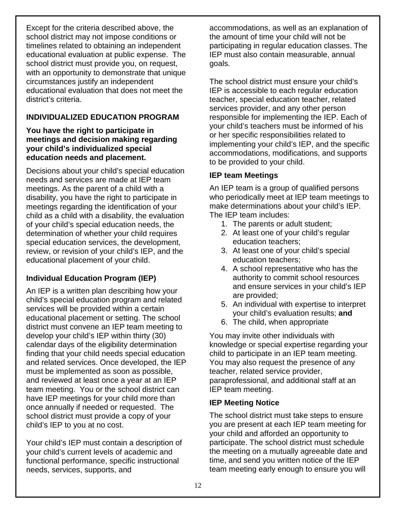Except for the criteria described above, the school district may not impose conditions or timelines related to obtaining an independent educational evaluation at public expense. The school district must provide you, on request, with an opportunity to demonstrate that unique circumstances justify an independent educational evaluation that does not meet the district's criteria.

# **INDIVIDUALIZED EDUCATION PROGRAM**

#### **You have the right to participate in meetings and decision making regarding your child's individualized special education needs and placement.**

Decisions about your child's special education needs and services are made at IEP team meetings. As the parent of a child with a disability, you have the right to participate in meetings regarding the identification of your child as a child with a disability, the evaluation of your child's special education needs, the determination of whether your child requires special education services, the development, review, or revision of your child's IEP, and the educational placement of your child.

# **Individual Education Program (IEP)**

An IEP is a written plan describing how your child's special education program and related services will be provided within a certain educational placement or setting. The school district must convene an IEP team meeting to develop your child's IEP within thirty (30) calendar days of the eligibility determination finding that your child needs special education and related services. Once developed, the IEP must be implemented as soon as possible, and reviewed at least once a year at an IEP team meeting. You or the school district can have IEP meetings for your child more than once annually if needed or requested. The school district must provide a copy of your child's IEP to you at no cost.

Your child's IEP must contain a description of your child's current levels of academic and functional performance, specific instructional needs, services, supports, and

accommodations, as well as an explanation of the amount of time your child will not be participating in regular education classes. The IEP must also contain measurable, annual goals.

The school district must ensure your child's IEP is accessible to each regular education teacher, special education teacher, related services provider, and any other person responsible for implementing the IEP. Each of your child's teachers must be informed of his or her specific responsibilities related to implementing your child's IEP, and the specific accommodations, modifications, and supports to be provided to your child.

# **IEP team Meetings**

An IEP team is a group of qualified persons who periodically meet at IEP team meetings to make determinations about your child's IEP. The IEP team includes:

- 1. The parents or adult student;
- 2. At least one of your child's regular education teachers;
- 3. At least one of your child's special education teachers;
- 4. A school representative who has the authority to commit school resources and ensure services in your child's IEP are provided;
- 5. An individual with expertise to interpret your child's evaluation results; **and**
- 6. The child, when appropriate

You may invite other individuals with knowledge or special expertise regarding your child to participate in an IEP team meeting. You may also request the presence of any teacher, related service provider, paraprofessional, and additional staff at an IEP team meeting.

# **IEP Meeting Notice**

The school district must take steps to ensure you are present at each IEP team meeting for your child and afforded an opportunity to participate. The school district must schedule the meeting on a mutually agreeable date and time, and send you written notice of the IEP team meeting early enough to ensure you will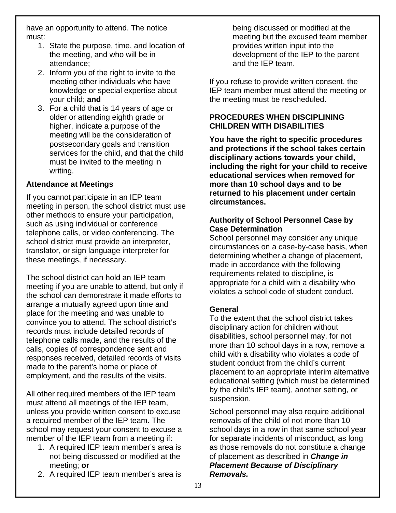have an opportunity to attend. The notice must:

- 1. State the purpose, time, and location of the meeting, and who will be in attendance;
- 2. Inform you of the right to invite to the meeting other individuals who have knowledge or special expertise about your child; **and**
- 3. For a child that is 14 years of age or older or attending eighth grade or higher, indicate a purpose of the meeting will be the consideration of postsecondary goals and transition services for the child, and that the child must be invited to the meeting in writing.

# **Attendance at Meetings**

If you cannot participate in an IEP team meeting in person, the school district must use other methods to ensure your participation, such as using individual or conference telephone calls, or video conferencing. The school district must provide an interpreter, translator, or sign language interpreter for these meetings, if necessary.

The school district can hold an IEP team meeting if you are unable to attend, but only if the school can demonstrate it made efforts to arrange a mutually agreed upon time and place for the meeting and was unable to convince you to attend. The school district's records must include detailed records of telephone calls made, and the results of the calls, copies of correspondence sent and responses received, detailed records of visits made to the parent's home or place of employment, and the results of the visits.

All other required members of the IEP team must attend all meetings of the IEP team, unless you provide written consent to excuse a required member of the IEP team. The school may request your consent to excuse a member of the IEP team from a meeting if:

- 1. A required IEP team member's area is not being discussed or modified at the meeting; **or**
- 2. A required IEP team member's area is

being discussed or modified at the meeting but the excused team member provides written input into the development of the IEP to the parent and the IEP team.

If you refuse to provide written consent, the IEP team member must attend the meeting or the meeting must be rescheduled.

#### **PROCEDURES WHEN DISCIPLINING CHILDREN WITH DISABILITIES**

**You have the right to specific procedures and protections if the school takes certain disciplinary actions towards your child, including the right for your child to receive educational services when removed for more than 10 school days and to be returned to his placement under certain circumstances.**

#### **Authority of School Personnel Case by Case Determination**

School personnel may consider any unique circumstances on a case-by-case basis, when determining whether a change of placement, made in accordance with the following requirements related to discipline, is appropriate for a child with a disability who violates a school code of student conduct.

#### **General**

To the extent that the school district takes disciplinary action for children without disabilities, school personnel may, for not more than 10 school days in a row, remove a child with a disability who violates a code of student conduct from the child's current placement to an appropriate interim alternative educational setting (which must be determined by the child's IEP team), another setting, or suspension.

School personnel may also require additional removals of the child of not more than 10 school days in a row in that same school year for separate incidents of misconduct, as long as those removals do not constitute a change of placement as described in *Change in Placement Because of Disciplinary Removals.*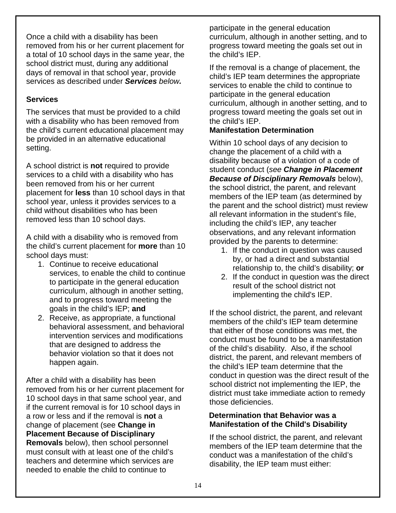Once a child with a disability has been removed from his or her current placement for a total of 10 school days in the same year, the school district must, during any additional days of removal in that school year, provide services as described under *Services below.*

#### **Services**

The services that must be provided to a child with a disability who has been removed from the child's current educational placement may be provided in an alternative educational setting.

A school district is **not** required to provide services to a child with a disability who has been removed from his or her current placement for **less** than 10 school days in that school year, unless it provides services to a child without disabilities who has been removed less than 10 school days.

A child with a disability who is removed from the child's current placement for **more** than 10 school days must:

- 1. Continue to receive educational services, to enable the child to continue to participate in the general education curriculum, although in another setting, and to progress toward meeting the goals in the child's IEP; **and**
- 2. Receive, as appropriate, a functional behavioral assessment, and behavioral intervention services and modifications that are designed to address the behavior violation so that it does not happen again.

After a child with a disability has been removed from his or her current placement for 10 school days in that same school year, and if the current removal is for 10 school days in a row or less and if the removal is **not** a change of placement (see **Change in Placement Because of Disciplinary Removals** below), then school personnel must consult with at least one of the child's teachers and determine which services are needed to enable the child to continue to

participate in the general education curriculum, although in another setting, and to progress toward meeting the goals set out in the child's IEP.

If the removal is a change of placement, the child's IEP team determines the appropriate services to enable the child to continue to participate in the general education curriculum, although in another setting, and to progress toward meeting the goals set out in the child's IEP.

# **Manifestation Determination**

Within 10 school days of any decision to change the placement of a child with a disability because of a violation of a code of student conduct (*see Change in Placement Because of Disciplinary Removals* below), the school district, the parent, and relevant members of the IEP team (as determined by the parent and the school district) must review all relevant information in the student's file, including the child's IEP, any teacher observations, and any relevant information provided by the parents to determine:

- 1. If the conduct in question was caused by, or had a direct and substantial relationship to, the child's disability; **or**
- 2. If the conduct in question was the direct result of the school district not implementing the child's IEP.

If the school district, the parent, and relevant members of the child's IEP team determine that either of those conditions was met, the conduct must be found to be a manifestation of the child's disability. Also, if the school district, the parent, and relevant members of the child's IEP team determine that the conduct in question was the direct result of the school district not implementing the IEP, the district must take immediate action to remedy those deficiencies.

# **Determination that Behavior was a Manifestation of the Child's Disability**

If the school district, the parent, and relevant members of the IEP team determine that the conduct was a manifestation of the child's disability, the IEP team must either: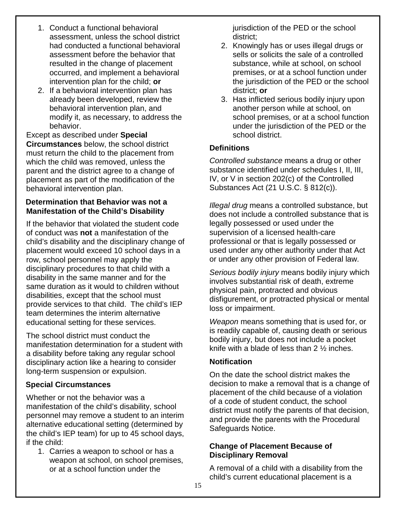- 1. Conduct a functional behavioral assessment, unless the school district had conducted a functional behavioral assessment before the behavior that resulted in the change of placement occurred, and implement a behavioral intervention plan for the child; **or**
- 2. If a behavioral intervention plan has already been developed, review the behavioral intervention plan, and modify it, as necessary, to address the behavior.

Except as described under **Special Circumstances** below, the school district must return the child to the placement from which the child was removed, unless the parent and the district agree to a change of placement as part of the modification of the behavioral intervention plan.

# **Determination that Behavior was not a Manifestation of the Child's Disability**

If the behavior that violated the student code of conduct was **not** a manifestation of the child's disability and the disciplinary change of placement would exceed 10 school days in a row, school personnel may apply the disciplinary procedures to that child with a disability in the same manner and for the same duration as it would to children without disabilities, except that the school must provide services to that child. The child's IEP team determines the interim alternative educational setting for these services.

The school district must conduct the manifestation determination for a student with a disability before taking any regular school disciplinary action like a hearing to consider long-term suspension or expulsion.

# **Special Circumstances**

Whether or not the behavior was a manifestation of the child's disability, school personnel may remove a student to an interim alternative educational setting (determined by the child's IEP team) for up to 45 school days, if the child:

1. Carries a weapon to school or has a weapon at school, on school premises, or at a school function under the

jurisdiction of the PED or the school district;

- 2. Knowingly has or uses illegal drugs or sells or solicits the sale of a controlled substance, while at school, on school premises, or at a school function under the jurisdiction of the PED or the school district; **or**
- 3. Has inflicted serious bodily injury upon another person while at school, on school premises, or at a school function under the jurisdiction of the PED or the school district.

# **Definitions**

*Controlled substance* means a drug or other substance identified under schedules I, II, III, IV, or V in section 202(c) of the Controlled Substances Act (21 U.S.C. § 812(c)).

*Illegal drug* means a controlled substance, but does not include a controlled substance that is legally possessed or used under the supervision of a licensed health-care professional or that is legally possessed or used under any other authority under that Act or under any other provision of Federal law.

*Serious bodily injury* means bodily injury which involves substantial risk of death, extreme physical pain, protracted and obvious disfigurement, or protracted physical or mental loss or impairment.

*Weapon* means something that is used for, or is readily capable of, causing death or serious bodily injury, but does not include a pocket knife with a blade of less than 2 ½ inches.

# **Notification**

On the date the school district makes the decision to make a removal that is a change of placement of the child because of a violation of a code of student conduct, the school district must notify the parents of that decision, and provide the parents with the Procedural Safeguards Notice.

#### **Change of Placement Because of Disciplinary Removal**

A removal of a child with a disability from the child's current educational placement is a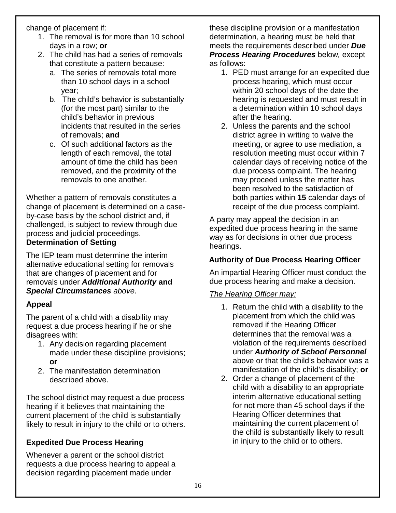change of placement if:

- 1. The removal is for more than 10 school days in a row; **or**
- 2. The child has had a series of removals that constitute a pattern because:
	- a. The series of removals total more than 10 school days in a school year;
	- b. The child's behavior is substantially (for the most part) similar to the child's behavior in previous incidents that resulted in the series of removals; **and**
	- c. Of such additional factors as the length of each removal, the total amount of time the child has been removed, and the proximity of the removals to one another.

Whether a pattern of removals constitutes a change of placement is determined on a caseby-case basis by the school district and, if challenged, is subject to review through due process and judicial proceedings. **Determination of Setting**

The IEP team must determine the interim alternative educational setting for removals that are changes of placement and for removals under *Additional Authority* **and**  *Special Circumstances above*.

# **Appeal**

The parent of a child with a disability may request a due process hearing if he or she disagrees with:

- 1. Any decision regarding placement made under these discipline provisions; **or**
- 2. The manifestation determination described above.

The school district may request a due process hearing if it believes that maintaining the current placement of the child is substantially likely to result in injury to the child or to others.

# **Expedited Due Process Hearing**

Whenever a parent or the school district requests a due process hearing to appeal a decision regarding placement made under

these discipline provision or a manifestation determination, a hearing must be held that meets the requirements described under *Due Process Hearing Procedures* below*,* except as follows:

- 1. PED must arrange for an expedited due process hearing, which must occur within 20 school days of the date the hearing is requested and must result in a determination within 10 school days after the hearing.
- 2. Unless the parents and the school district agree in writing to waive the meeting, or agree to use mediation, a resolution meeting must occur within 7 calendar days of receiving notice of the due process complaint. The hearing may proceed unless the matter has been resolved to the satisfaction of both parties within **15** calendar days of receipt of the due process complaint.

A party may appeal the decision in an expedited due process hearing in the same way as for decisions in other due process hearings.

#### **Authority of Due Process Hearing Officer**

An impartial Hearing Officer must conduct the due process hearing and make a decision.

#### *The Hearing Officer may:*

- 1. Return the child with a disability to the placement from which the child was removed if the Hearing Officer determines that the removal was a violation of the requirements described under *Authority of School Personnel* above or that the child's behavior was a manifestation of the child's disability; **or**
- 2. Order a change of placement of the child with a disability to an appropriate interim alternative educational setting for not more than 45 school days if the Hearing Officer determines that maintaining the current placement of the child is substantially likely to result in injury to the child or to others.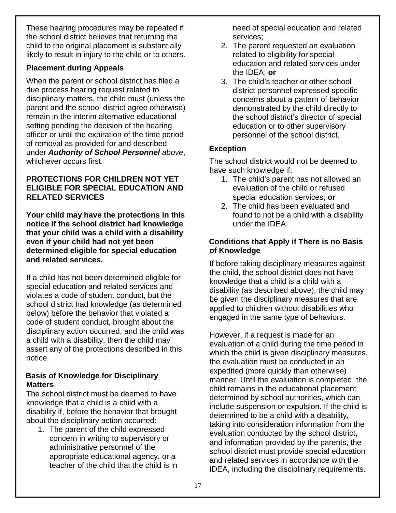These hearing procedures may be repeated if the school district believes that returning the child to the original placement is substantially likely to result in injury to the child or to others.

# **Placement during Appeals**

When the parent or school district has filed a due process hearing request related to disciplinary matters, the child must (unless the parent and the school district agree otherwise) remain in the interim alternative educational setting pending the decision of the hearing officer or until the expiration of the time period of removal as provided for and described under *Authority of School Personnel above*, whichever occurs first.

# **PROTECTIONS FOR CHILDREN NOT YET ELIGIBLE FOR SPECIAL EDUCATION AND RELATED SERVICES**

**Your child may have the protections in this notice if the school district had knowledge that your child was a child with a disability even if your child had not yet been determined eligible for special education and related services.**

If a child has not been determined eligible for special education and related services and violates a code of student conduct, but the school district had knowledge (as determined below) before the behavior that violated a code of student conduct, brought about the disciplinary action occurred, and the child was a child with a disability, then the child may assert any of the protections described in this notice.

# **Basis of Knowledge for Disciplinary Matters**

The school district must be deemed to have knowledge that a child is a child with a disability if, before the behavior that brought about the disciplinary action occurred:

1. The parent of the child expressed concern in writing to supervisory or administrative personnel of the appropriate educational agency, or a teacher of the child that the child is in need of special education and related services;

- 2. The parent requested an evaluation related to eligibility for special education and related services under the IDEA; **or**
- 3. The child's teacher or other school district personnel expressed specific concerns about a pattern of behavior demonstrated by the child directly to the school district's director of special education or to other supervisory personnel of the school district.

# **Exception**

The school district would not be deemed to have such knowledge if:

- 1. The child's parent has not allowed an evaluation of the child or refused special education services; **or**
- 2. The child has been evaluated and found to not be a child with a disability under the IDEA.

# **Conditions that Apply if There is no Basis of Knowledge**

If before taking disciplinary measures against the child, the school district does not have knowledge that a child is a child with a disability (as described above), the child may be given the disciplinary measures that are applied to children without disabilities who engaged in the same type of behaviors.

However, if a request is made for an evaluation of a child during the time period in which the child is given disciplinary measures, the evaluation must be conducted in an expedited (more quickly than otherwise) manner. Until the evaluation is completed, the child remains in the educational placement determined by school authorities, which can include suspension or expulsion. If the child is determined to be a child with a disability, taking into consideration information from the evaluation conducted by the school district, and information provided by the parents, the school district must provide special education and related services in accordance with the IDEA, including the disciplinary requirements.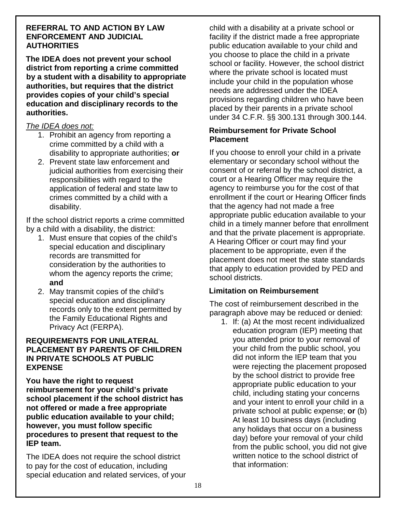#### **REFERRAL TO AND ACTION BY LAW ENFORCEMENT AND JUDICIAL AUTHORITIES**

**The IDEA does not prevent your school district from reporting a crime committed by a student with a disability to appropriate authorities, but requires that the district provides copies of your child's special education and disciplinary records to the authorities.**

#### *The IDEA does not:*

- 1. Prohibit an agency from reporting a crime committed by a child with a disability to appropriate authorities; **or**
- 2. Prevent state law enforcement and judicial authorities from exercising their responsibilities with regard to the application of federal and state law to crimes committed by a child with a disability.

If the school district reports a crime committed by a child with a disability, the district:

- 1. Must ensure that copies of the child's special education and disciplinary records are transmitted for consideration by the authorities to whom the agency reports the crime; **and**
- 2. May transmit copies of the child's special education and disciplinary records only to the extent permitted by the Family Educational Rights and Privacy Act (FERPA).

#### **REQUIREMENTS FOR UNILATERAL PLACEMENT BY PARENTS OF CHILDREN IN PRIVATE SCHOOLS AT PUBLIC EXPENSE**

**You have the right to request reimbursement for your child's private school placement if the school district has not offered or made a free appropriate public education available to your child; however, you must follow specific procedures to present that request to the IEP team.**

The IDEA does not require the school district to pay for the cost of education, including special education and related services, of your child with a disability at a private school or facility if the district made a free appropriate public education available to your child and you choose to place the child in a private school or facility. However, the school district where the private school is located must include your child in the population whose needs are addressed under the IDEA provisions regarding children who have been placed by their parents in a private school under 34 C.F.R. §§ 300.131 through 300.144.

#### **Reimbursement for Private School Placement**

If you choose to enroll your child in a private elementary or secondary school without the consent of or referral by the school district, a court or a Hearing Officer may require the agency to reimburse you for the cost of that enrollment if the court or Hearing Officer finds that the agency had not made a free appropriate public education available to your child in a timely manner before that enrollment and that the private placement is appropriate. A Hearing Officer or court may find your placement to be appropriate, even if the placement does not meet the state standards that apply to education provided by PED and school districts.

# **Limitation on Reimbursement**

The cost of reimbursement described in the paragraph above may be reduced or denied:

1. If: (a) At the most recent individualized education program (IEP) meeting that you attended prior to your removal of your child from the public school, you did not inform the IEP team that you were rejecting the placement proposed by the school district to provide free appropriate public education to your child, including stating your concerns and your intent to enroll your child in a private school at public expense; **or** (b) At least 10 business days (including any holidays that occur on a business day) before your removal of your child from the public school, you did not give written notice to the school district of that information: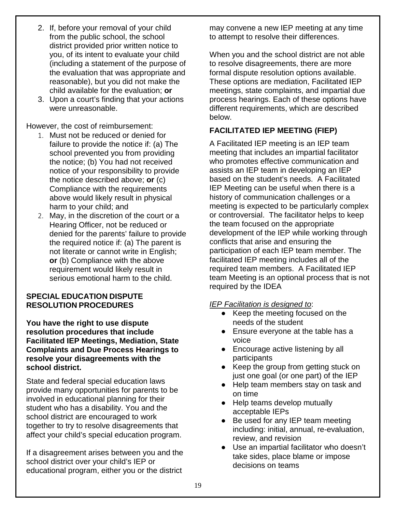- 2. If, before your removal of your child from the public school, the school district provided prior written notice to you, of its intent to evaluate your child (including a statement of the purpose of the evaluation that was appropriate and reasonable), but you did not make the child available for the evaluation; **or**
- 3. Upon a court's finding that your actions were unreasonable.

However, the cost of reimbursement:

- 1. Must not be reduced or denied for failure to provide the notice if: (a) The school prevented you from providing the notice; (b) You had not received notice of your responsibility to provide the notice described above; **or** (c) Compliance with the requirements above would likely result in physical harm to your child; and
- 2. May, in the discretion of the court or a Hearing Officer, not be reduced or denied for the parents' failure to provide the required notice if: (a) The parent is not literate or cannot write in English; **or** (b) Compliance with the above requirement would likely result in serious emotional harm to the child.

#### **SPECIAL EDUCATION DISPUTE RESOLUTION PROCEDURES**

**You have the right to use dispute resolution procedures that include Facilitated IEP Meetings, Mediation, State Complaints and Due Process Hearings to resolve your disagreements with the school district.**

State and federal special education laws provide many opportunities for parents to be involved in educational planning for their student who has a disability. You and the school district are encouraged to work together to try to resolve disagreements that affect your child's special education program.

If a disagreement arises between you and the school district over your child's IEP or educational program, either you or the district

may convene a new IEP meeting at any time to attempt to resolve their differences.

When you and the school district are not able to resolve disagreements, there are more formal dispute resolution options available. These options are mediation, Facilitated IEP meetings, state complaints, and impartial due process hearings. Each of these options have different requirements, which are described below.

# **FACILITATED IEP MEETING (FIEP)**

A Facilitated IEP meeting is an IEP team meeting that includes an impartial facilitator who promotes effective communication and assists an IEP team in developing an IEP based on the student's needs. A Facilitated IEP Meeting can be useful when there is a history of communication challenges or a meeting is expected to be particularly complex or controversial. The facilitator helps to keep the team focused on the appropriate development of the IEP while working through conflicts that arise and ensuring the participation of each IEP team member. The facilitated IEP meeting includes all of the required team members. A Facilitated IEP team Meeting is an optional process that is not required by the IDEA

#### *IEP Facilitation is designed to*:

- Keep the meeting focused on the needs of the student
- Ensure everyone at the table has a voice
- Encourage active listening by all participants
- Keep the group from getting stuck on just one goal (or one part) of the IEP
- Help team members stay on task and on time
- Help teams develop mutually acceptable IEPs
- Be used for any IEP team meeting including: initial, annual, re-evaluation, review, and revision
- Use an impartial facilitator who doesn't take sides, place blame or impose decisions on teams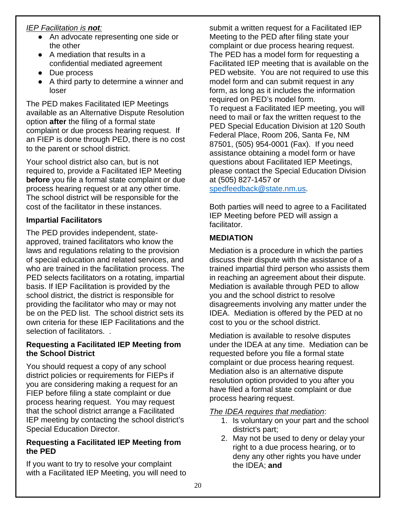# *IEP Facilitation is not:*

- An advocate representing one side or the other
- A mediation that results in a confidential mediated agreement
- Due process
- A third party to determine a winner and loser

The PED makes Facilitated IEP Meetings available as an Alternative Dispute Resolution option **after** the filing of a formal state complaint or due process hearing request. If an FIEP is done through PED, there is no cost to the parent or school district.

Your school district also can, but is not required to, provide a Facilitated IEP Meeting **before** you file a formal state complaint or due process hearing request or at any other time. The school district will be responsible for the cost of the facilitator in these instances.

#### **Impartial Facilitators**

The PED provides independent, stateapproved, trained facilitators who know the laws and regulations relating to the provision of special education and related services, and who are trained in the facilitation process. The PED selects facilitators on a rotating, impartial basis. If IEP Facilitation is provided by the school district, the district is responsible for providing the facilitator who may or may not be on the PED list. The school district sets its own criteria for these IEP Facilitations and the selection of facilitators. .

#### **Requesting a Facilitated IEP Meeting from the School District**

You should request a copy of any school district policies or requirements for FIEPs if you are considering making a request for an FIEP before filing a state complaint or due process hearing request. You may request that the school district arrange a Facilitated IEP meeting by contacting the school district's Special Education Director.

#### **Requesting a Facilitated IEP Meeting from the PED**

If you want to try to resolve your complaint with a Facilitated IEP Meeting, you will need to submit a written request for a Facilitated IEP Meeting to the PED after filing state your complaint or due process hearing request. The PED has a model form for requesting a Facilitated IEP meeting that is available on the PED website. You are not required to use this model form and can submit request in any form, as long as it includes the information required on PED's model form. To request a Facilitated IEP meeting, you will need to mail or fax the written request to the PED Special Education Division at 120 South Federal Place, Room 206, Santa Fe, NM 87501, (505) 954-0001 (Fax). If you need assistance obtaining a model form or have questions about Facilitated IEP Meetings, please contact the Special Education Division at (505) 827-1457 or

[spedfeedback@state.nm.us.](mailto:spedfeedback@state.nm.us)

Both parties will need to agree to a Facilitated IEP Meeting before PED will assign a facilitator.

# **MEDIATION**

Mediation is a procedure in which the parties discuss their dispute with the assistance of a trained impartial third person who assists them in [reaching an agreement about their dispute.](https://corporate.findlaw.com/litigation-disputes/adr.html)  Mediation is available through PED to allow you and the school district to resolve disagreements involving any matter under the IDEA. Mediation is offered by the PED at no cost to you or the school district.

Mediation is available to resolve disputes under the IDEA at any time. Mediation can be requested before you file a formal state complaint or due process hearing request. Mediation also is an alternative dispute resolution option provided to you after you have filed a formal state complaint or due process hearing request.

#### *The IDEA requires that mediation*:

- 1. Is voluntary on your part and the school district's part;
- 2. May not be used to deny or delay your right to a due process hearing, or to deny any other rights you have under the IDEA; **and**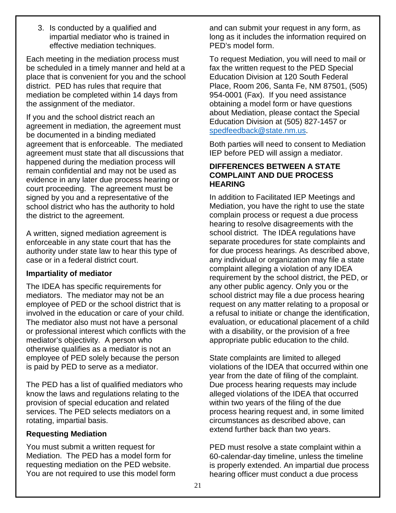3. Is conducted by a qualified and impartial mediator who is trained in effective mediation techniques.

Each meeting in the mediation process must be scheduled in a timely manner and held at a place that is convenient for you and the school district. PED has rules that require that mediation be completed within 14 days from the assignment of the mediator.

If you and the school district reach an agreement in mediation, the agreement must be documented in a binding mediated agreement that is enforceable. The mediated agreement must state that all discussions that happened during the mediation process will remain confidential and may not be used as evidence in any later due process hearing or court proceeding. The agreement must be signed by you and a representative of the school district who has the authority to hold the district to the agreement.

A written, signed mediation agreement is enforceable in any state court that has the authority under state law to hear this type of case or in a federal district court.

#### **Impartiality of mediator**

The IDEA has specific requirements for mediators. The mediator may not be an employee of PED or the school district that is involved in the education or care of your child. The mediator also must not have a personal or professional interest which conflicts with the mediator's objectivity. A person who otherwise qualifies as a mediator is not an employee of PED solely because the person is paid by PED to serve as a mediator.

The PED has a list of qualified mediators who know the laws and regulations relating to the provision of special education and related services. The PED selects mediators on a rotating, impartial basis.

#### **Requesting Mediation**

You must submit a written request for Mediation. The PED has a model form for requesting mediation on the PED website. You are not required to use this model form and can submit your request in any form, as long as it includes the information required on PED's model form.

To request Mediation, you will need to mail or fax the written request to the PED Special Education Division at 120 South Federal Place, Room 206, Santa Fe, NM 87501, (505) 954-0001 (Fax). If you need assistance obtaining a model form or have questions about Mediation, please contact the Special Education Division at (505) 827-1457 or [spedfeedback@state.nm.us.](mailto:spedfeedback@state.nm.us)

Both parties will need to consent to Mediation IEP before PED will assign a mediator.

#### **DIFFERENCES BETWEEN A STATE COMPLAINT AND DUE PROCESS HEARING**

In addition to Facilitated IEP Meetings and Mediation, you have the right to use the state complain process or request a due process hearing to resolve disagreements with the school district. The IDEA regulations have separate procedures for state complaints and for due process hearings. As described above, any individual or organization may file a state complaint alleging a violation of any IDEA requirement by the school district, the PED, or any other public agency. Only you or the school district may file a due process hearing request on any matter relating to a proposal or a refusal to initiate or change the identification, evaluation, or educational placement of a child with a disability, or the provision of a free appropriate public education to the child.

State complaints are limited to alleged violations of the IDEA that occurred within one year from the date of filing of the complaint. Due process hearing requests may include alleged violations of the IDEA that occurred within two years of the filing of the due process hearing request and, in some limited circumstances as described above, can extend further back than two years.

PED must resolve a state complaint within a 60-calendar-day timeline, unless the timeline is properly extended. An impartial due process hearing officer must conduct a due process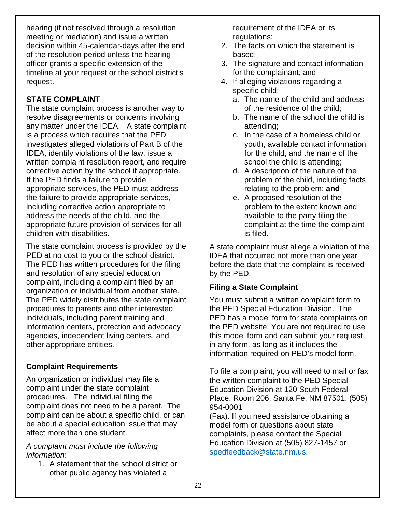hearing (if not resolved through a resolution meeting or mediation) and issue a written decision within 45-calendar-days after the end of the resolution period unless the hearing officer grants a specific extension of the timeline at your request or the school district's request.

# **STATE COMPLAINT**

The state complaint process is another way to resolve disagreements or concerns involving any matter under the IDEA. A state complaint is a process which requires that the PED investigates alleged violations of Part B of the IDEA, identify violations of the law, issue a written complaint resolution report, and require corrective action by the school if appropriate. If the PED finds a failure to provide appropriate services, the PED must address the failure to provide appropriate services, including corrective action appropriate to address the needs of the child, and the appropriate future provision of services for all children with disabilities.

The state complaint process is provided by the PED at no cost to you or the school district. The PED has written procedures for the filing and resolution of any special education complaint, including a complaint filed by an organization or individual from another state. The PED widely distributes the state complaint procedures to parents and other interested individuals, including parent training and information centers, protection and advocacy agencies, independent living centers, and other appropriate entities.

# **Complaint Requirements**

An organization or individual may file a complaint under the state complaint procedures. The individual filing the complaint does not need to be a parent. The complaint can be about a specific child, or can be about a special education issue that may affect more than one student.

#### *A complaint must include the following information*:

1. A statement that the school district or other public agency has violated a

requirement of the IDEA or its regulations;

- 2. The facts on which the statement is based;
- 3. The signature and contact information for the complainant; and
- 4. If alleging violations regarding a specific child:
	- a. The name of the child and address of the residence of the child;
	- b. The name of the school the child is attending;
	- c. In the case of a homeless child or youth, available contact information for the child, and the name of the school the child is attending;
	- d. A description of the nature of the problem of the child, including facts relating to the problem; **and**
	- e. A proposed resolution of the problem to the extent known and available to the party filing the complaint at the time the complaint is filed.

A state complaint must allege a violation of the IDEA that occurred not more than one year before the date that the complaint is received by the PED.

# **Filing a State Complaint**

You must submit a written complaint form to the PED Special Education Division. The PED has a model form for state complaints on the PED website. You are not required to use this model form and can submit your request in any form, as long as it includes the information required on PED's model form.

To file a complaint, you will need to mail or fax the written complaint to the PED Special Education Division at 120 South Federal Place, Room 206, Santa Fe, NM 87501, (505) 954-0001

(Fax). If you need assistance obtaining a model form or questions about state complaints, please contact the Special Education Division at (505) 827-1457 or [spedfeedback@state.nm.us.](mailto:spedfeedback@state.nm.us)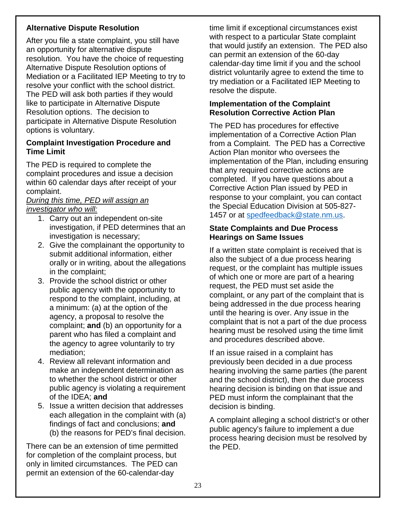# **Alternative Dispute Resolution**

After you file a state complaint, you still have an opportunity for alternative dispute resolution. You have the choice of requesting Alternative Dispute Resolution options of Mediation or a Facilitated IEP Meeting to try to resolve your conflict with the school district. The PED will ask both parties if they would like to participate in Alternative Dispute Resolution options. The decision to participate in Alternative Dispute Resolution options is voluntary.

#### **Complaint Investigation Procedure and Time Limit**

The PED is required to complete the complaint procedures and issue a decision within 60 calendar days after receipt of your complaint.

#### *During this time, PED will assign an investigator who will:*

- 1. Carry out an independent on-site investigation, if PED determines that an investigation is necessary;
- 2. Give the complainant the opportunity to submit additional information, either orally or in writing, about the allegations in the complaint;
- 3. Provide the school district or other public agency with the opportunity to respond to the complaint, including, at a minimum: (a) at the option of the agency, a proposal to resolve the complaint; **and** (b) an opportunity for a parent who has filed a complaint and the agency to agree voluntarily to try mediation;
- 4. Review all relevant information and make an independent determination as to whether the school district or other public agency is violating a requirement of the IDEA; **and**
- 5. Issue a written decision that addresses each allegation in the complaint with (a) findings of fact and conclusions; **and**  (b) the reasons for PED's final decision.

There can be an extension of time permitted for completion of the complaint process, but only in limited circumstances. The PED can permit an extension of the 60-calendar-day

time limit if exceptional circumstances exist with respect to a particular State complaint that would justify an extension. The PED also can permit an extension of the 60-day calendar-day time limit if you and the school district voluntarily agree to extend the time to try mediation or a Facilitated IEP Meeting to resolve the dispute.

# **Implementation of the Complaint Resolution Corrective Action Plan**

The PED has procedures for effective implementation of a Corrective Action Plan from a Complaint. The PED has a Corrective Action Plan monitor who oversees the implementation of the Plan, including ensuring that any required corrective actions are completed. If you have questions about a Corrective Action Plan issued by PED in response to your complaint, you can contact the Special Education Division at 505-827 1457 or at [spedfeedback@state.nm.us.](mailto:spedfeedback@state.nm.us)

#### **State Complaints and Due Process Hearings on Same Issues**

If a written state complaint is received that is also the subject of a due process hearing request, or the complaint has multiple issues of which one or more are part of a hearing request, the PED must set aside the complaint, or any part of the complaint that is being addressed in the due process hearing until the hearing is over. Any issue in the complaint that is not a part of the due process hearing must be resolved using the time limit and procedures described above.

If an issue raised in a complaint has previously been decided in a due process hearing involving the same parties (the parent and the school district), then the due process hearing decision is binding on that issue and PED must inform the complainant that the decision is binding.

A complaint alleging a school district's or other public agency's failure to implement a due process hearing decision must be resolved by the PED.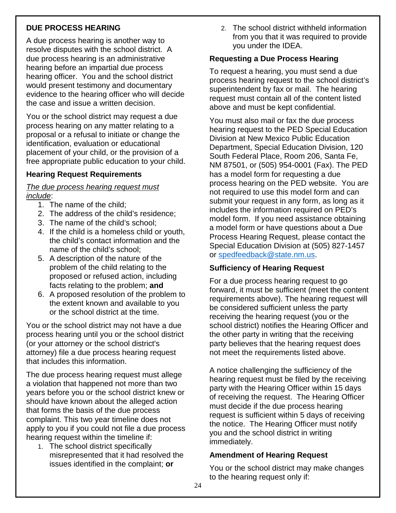# **DUE PROCESS HEARING**

A due process hearing is another way to resolve disputes with the school district. A due process hearing is an administrative hearing before an impartial due process hearing officer. You and the school district would present testimony and documentary evidence to the hearing officer who will decide the case and issue a written decision.

You or the school district may request a due process hearing on any matter relating to a proposal or a refusal to initiate or change the identification, evaluation or educational placement of your child, or the provision of a free appropriate public education to your child.

# **Hearing Request Requirements**

#### *The due process hearing request must include*:

- 1. The name of the child;
- 2. The address of the child's residence;
- 3. The name of the child's school;
- 4. If the child is a homeless child or youth, the child's contact information and the name of the child's school;
- 5. A description of the nature of the problem of the child relating to the proposed or refused action, including facts relating to the problem; **and**
- 6. A proposed resolution of the problem to the extent known and available to you or the school district at the time.

You or the school district may not have a due process hearing until you or the school district (or your attorney or the school district's attorney) file a due process hearing request that includes this information.

The due process hearing request must allege a violation that happened not more than two years before you or the school district knew or should have known about the alleged action that forms the basis of the due process complaint. This two year timeline does not apply to you if you could not file a due process hearing request within the timeline if:

1. The school district specifically misrepresented that it had resolved the issues identified in the complaint; **or**

2. The school district withheld information from you that it was required to provide you under the IDEA.

### **Requesting a Due Process Hearing**

To request a hearing, you must send a due process hearing request to the school district's superintendent by fax or mail. The hearing request must contain all of the content listed above and must be kept confidential.

You must also mail or fax the due process hearing request to the PED Special Education Division at New Mexico Public Education Department, Special Education Division, 120 South Federal Place, Room 206, Santa Fe, NM 87501, or (505) 954-0001 (Fax). The PED has a model form for requesting a due process hearing on the PED website. You are not required to use this model form and can submit your request in any form, as long as it includes the information required on PED's model form. If you need assistance obtaining a model form or have questions about a Due Process Hearing Request, please contact the Special Education Division at (505) 827-1457 or [spedfeedback@state.nm.us.](mailto:spedfeedback@state.nm.us)

#### **Sufficiency of Hearing Request**

For a due process hearing request to go forward, it must be sufficient (meet the content requirements above). The hearing request will be considered sufficient unless the party receiving the hearing request (you or the school district) notifies the Hearing Officer and the other party in writing that the receiving party believes that the hearing request does not meet the requirements listed above.

A notice challenging the sufficiency of the hearing request must be filed by the receiving party with the Hearing Officer within 15 days of receiving the request. The Hearing Officer must decide if the due process hearing request is sufficient within 5 days of receiving the notice. The Hearing Officer must notify you and the school district in writing immediately.

#### **Amendment of Hearing Request**

You or the school district may make changes to the hearing request only if: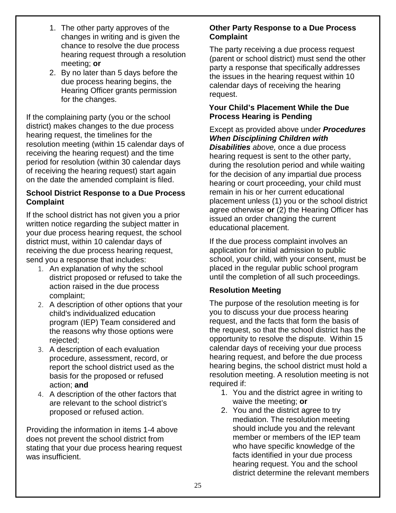- 1. The other party approves of the changes in writing and is given the chance to resolve the due process hearing request through a resolution meeting; **or**
- 2. By no later than 5 days before the due process hearing begins, the Hearing Officer grants permission for the changes.

If the complaining party (you or the school district) makes changes to the due process hearing request, the timelines for the resolution meeting (within 15 calendar days of receiving the hearing request) and the time period for resolution (within 30 calendar days of receiving the hearing request) start again on the date the amended complaint is filed.

#### **School District Response to a Due Process Complaint**

If the school district has not given you a prior written notice regarding the subject matter in your due process hearing request, the school district must, within 10 calendar days of receiving the due process hearing request, send you a response that includes:

- 1. An explanation of why the school district proposed or refused to take the action raised in the due process complaint;
- 2. A description of other options that your child's individualized education program (IEP) Team considered and the reasons why those options were rejected;
- 3. A description of each evaluation procedure, assessment, record, or report the school district used as the basis for the proposed or refused action; **and**
- 4. A description of the other factors that are relevant to the school district's proposed or refused action.

Providing the information in items 1-4 above does not prevent the school district from stating that your due process hearing request was insufficient.

# **Other Party Response to a Due Process Complaint**

The party receiving a due process request (parent or school district) must send the other party a response that specifically addresses the issues in the hearing request within 10 calendar days of receiving the hearing request.

# **Your Child's Placement While the Due Process Hearing is Pending**

Except as provided above under *Procedures When Disciplining Children with Disabilities above,* once a due process hearing request is sent to the other party, during the resolution period and while waiting for the decision of any impartial due process hearing or court proceeding, your child must remain in his or her current educational placement unless (1) you or the school district agree otherwise **or** (2) the Hearing Officer has issued an order changing the current educational placement.

If the due process complaint involves an application for initial admission to public school, your child, with your consent, must be placed in the regular public school program until the completion of all such proceedings.

# **Resolution Meeting**

The purpose of the resolution meeting is for you to discuss your due process hearing request, and the facts that form the basis of the request, so that the school district has the opportunity to resolve the dispute. Within 15 calendar days of receiving your due process hearing request, and before the due process hearing begins, the school district must hold a resolution meeting. A resolution meeting is not required if:

- 1. You and the district agree in writing to waive the meeting; **or**
- 2. You and the district agree to try mediation. The resolution meeting should include you and the relevant member or members of the IEP team who have specific knowledge of the facts identified in your due process hearing request. You and the school district determine the relevant members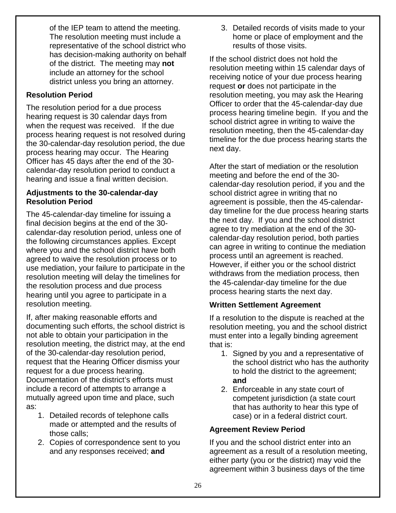of the IEP team to attend the meeting. The resolution meeting must include a representative of the school district who has decision-making authority on behalf of the district. The meeting may **not** include an attorney for the school district unless you bring an attorney.

# **Resolution Period**

The resolution period for a due process hearing request is 30 calendar days from when the request was received. If the due process hearing request is not resolved during the 30-calendar-day resolution period, the due process hearing may occur. The Hearing Officer has 45 days after the end of the 30 calendar-day resolution period to conduct a hearing and issue a final written decision.

#### **Adjustments to the 30-calendar-day Resolution Period**

The 45-calendar-day timeline for issuing a final decision begins at the end of the 30 calendar-day resolution period, unless one of the following circumstances applies. Except where you and the school district have both agreed to waive the resolution process or to use mediation, your failure to participate in the resolution meeting will delay the timelines for the resolution process and due process hearing until you agree to participate in a resolution meeting.

If, after making reasonable efforts and documenting such efforts, the school district is not able to obtain your participation in the resolution meeting, the district may, at the end of the 30-calendar-day resolution period, request that the Hearing Officer dismiss your request for a due process hearing. Documentation of the district's efforts must include a record of attempts to arrange a mutually agreed upon time and place, such as:

- 1. Detailed records of telephone calls made or attempted and the results of those calls;
- 2. Copies of correspondence sent to you and any responses received; **and**

3. Detailed records of visits made to your home or place of employment and the results of those visits.

If the school district does not hold the resolution meeting within 15 calendar days of receiving notice of your due process hearing request **or** does not participate in the resolution meeting, you may ask the Hearing Officer to order that the 45-calendar-day due process hearing timeline begin. If you and the school district agree in writing to waive the resolution meeting, then the 45-calendar-day timeline for the due process hearing starts the next day.

After the start of mediation or the resolution meeting and before the end of the 30 calendar-day resolution period, if you and the school district agree in writing that no agreement is possible, then the 45-calendarday timeline for the due process hearing starts the next day. If you and the school district agree to try mediation at the end of the 30 calendar-day resolution period, both parties can agree in writing to continue the mediation process until an agreement is reached. However, if either you or the school district withdraws from the mediation process, then the 45-calendar-day timeline for the due process hearing starts the next day.

# **Written Settlement Agreement**

If a resolution to the dispute is reached at the resolution meeting, you and the school district must enter into a legally binding agreement that is:

- 1. Signed by you and a representative of the school district who has the authority to hold the district to the agreement; **and**
- 2. Enforceable in any state court of competent jurisdiction (a state court that has authority to hear this type of case) or in a federal district court.

# **Agreement Review Period**

If you and the school district enter into an agreement as a result of a resolution meeting, either party (you or the district) may void the agreement within 3 business days of the time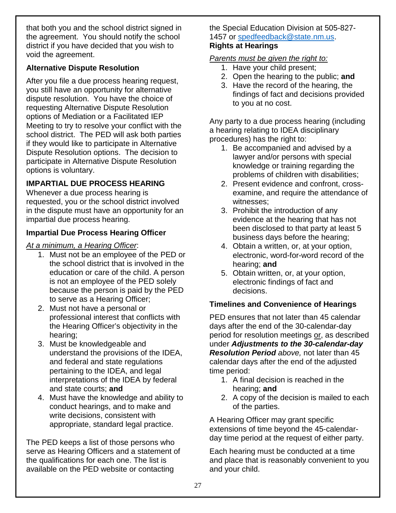that both you and the school district signed in the agreement. You should notify the school district if you have decided that you wish to void the agreement.

# **Alternative Dispute Resolution**

After you file a due process hearing request, you still have an opportunity for alternative dispute resolution. You have the choice of requesting Alternative Dispute Resolution options of Mediation or a Facilitated IEP Meeting to try to resolve your conflict with the school district. The PED will ask both parties if they would like to participate in Alternative Dispute Resolution options. The decision to participate in Alternative Dispute Resolution options is voluntary.

# **IMPARTIAL DUE PROCESS HEARING**

Whenever a due process hearing is requested, you or the school district involved in the dispute must have an opportunity for an impartial due process hearing.

# **Impartial Due Process Hearing Officer**

*At a minimum, a Hearing Officer*:

- 1. Must not be an employee of the PED or the school district that is involved in the education or care of the child. A person is not an employee of the PED solely because the person is paid by the PED to serve as a Hearing Officer;
- 2. Must not have a personal or professional interest that conflicts with the Hearing Officer's objectivity in the hearing;
- 3. Must be knowledgeable and understand the provisions of the IDEA, and federal and state regulations pertaining to the IDEA, and legal interpretations of the IDEA by federal and state courts; **and**
- 4. Must have the knowledge and ability to conduct hearings, and to make and write decisions, consistent with appropriate, standard legal practice.

The PED keeps a list of those persons who serve as Hearing Officers and a statement of the qualifications for each one. The list is available on the PED website or contacting

the Special Education Division at 505-827- 1457 or [spedfeedback@state.nm.us.](mailto:spedfeedback@state.nm.us) **Rights at Hearings** 

#### *Parents must be given the right to:*

- 1. Have your child present;
- 2. Open the hearing to the public; **and**
- 3. Have the record of the hearing, the findings of fact and decisions provided to you at no cost.

Any party to a due process hearing (including a hearing relating to IDEA disciplinary procedures) has the right to:

- 1. Be accompanied and advised by a lawyer and/or persons with special knowledge or training regarding the problems of children with disabilities;
- 2. Present evidence and confront, crossexamine, and require the attendance of witnesses;
- 3. Prohibit the introduction of any evidence at the hearing that has not been disclosed to that party at least 5 business days before the hearing;
- 4. Obtain a written, or, at your option, electronic, word-for-word record of the hearing; **and**
- 5. Obtain written, or, at your option, electronic findings of fact and decisions.

# **Timelines and Convenience of Hearings**

PED ensures that not later than 45 calendar days after the end of the 30-calendar-day period for resolution meetings or, as described under *Adjustments to the 30-calendar-day Resolution Period above,* not later than 45 calendar days after the end of the adjusted time period:

- 1. A final decision is reached in the hearing; **and**
- 2. A copy of the decision is mailed to each of the parties.

A Hearing Officer may grant specific extensions of time beyond the 45-calendarday time period at the request of either party.

Each hearing must be conducted at a time and place that is reasonably convenient to you and your child.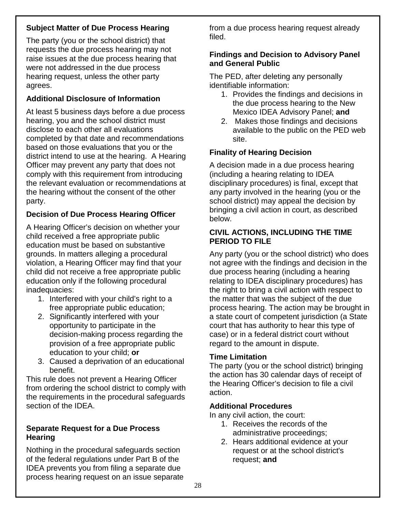# **Subject Matter of Due Process Hearing**

The party (you or the school district) that requests the due process hearing may not raise issues at the due process hearing that were not addressed in the due process hearing request, unless the other party agrees.

# **Additional Disclosure of Information**

At least 5 business days before a due process hearing, you and the school district must disclose to each other all evaluations completed by that date and recommendations based on those evaluations that you or the district intend to use at the hearing. A Hearing Officer may prevent any party that does not comply with this requirement from introducing the relevant evaluation or recommendations at the hearing without the consent of the other party.

# **Decision of Due Process Hearing Officer**

A Hearing Officer's decision on whether your child received a free appropriate public education must be based on substantive grounds. In matters alleging a procedural violation, a Hearing Officer may find that your child did not receive a free appropriate public education only if the following procedural inadequacies:

- 1. Interfered with your child's right to a free appropriate public education;
- 2. Significantly interfered with your opportunity to participate in the decision-making process regarding the provision of a free appropriate public education to your child; **or**
- 3. Caused a deprivation of an educational benefit.

This rule does not prevent a Hearing Officer from ordering the school district to comply with the requirements in the procedural safeguards section of the IDEA.

#### **Separate Request for a Due Process Hearing**

Nothing in the procedural safeguards section of the federal regulations under Part B of the IDEA prevents you from filing a separate due process hearing request on an issue separate

from a due process hearing request already filed.

#### **Findings and Decision to Advisory Panel and General Public**

The PED, after deleting any personally identifiable information:

- 1. Provides the findings and decisions in the due process hearing to the New Mexico IDEA Advisory Panel; **and**
- 2. Makes those findings and decisions available to the public on the PED web site.

# **Finality of Hearing Decision**

A decision made in a due process hearing (including a hearing relating to IDEA disciplinary procedures) is final, except that any party involved in the hearing (you or the school district) may appeal the decision by bringing a civil action in court, as described below.

#### **CIVIL ACTIONS, INCLUDING THE TIME PERIOD TO FILE**

Any party (you or the school district) who does not agree with the findings and decision in the due process hearing (including a hearing relating to IDEA disciplinary procedures) has the right to bring a civil action with respect to the matter that was the subject of the due process hearing. The action may be brought in a state court of competent jurisdiction (a State court that has authority to hear this type of case) or in a federal district court without regard to the amount in dispute.

#### **Time Limitation**

The party (you or the school district) bringing the action has 30 calendar days of receipt of the Hearing Officer's decision to file a civil action.

#### **Additional Procedures**

In any civil action, the court:

- 1. Receives the records of the administrative proceedings;
- 2. Hears additional evidence at your request or at the school district's request; **and**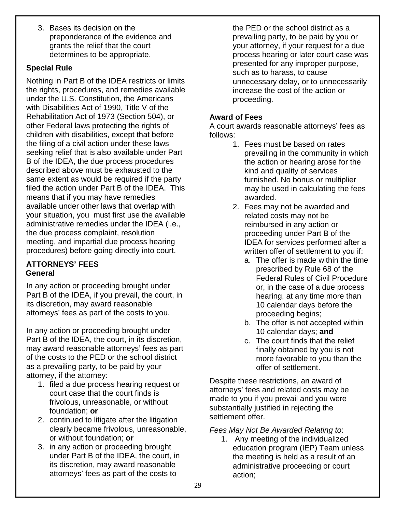3. Bases its decision on the preponderance of the evidence and grants the relief that the court determines to be appropriate.

# **Special Rule**

Nothing in Part B of the IDEA restricts or limits the rights, procedures, and remedies available under the U.S. Constitution, the Americans with Disabilities Act of 1990, Title V of the Rehabilitation Act of 1973 (Section 504), or other Federal laws protecting the rights of children with disabilities, except that before the filing of a civil action under these laws seeking relief that is also available under Part B of the IDEA, the due process procedures described above must be exhausted to the same extent as would be required if the party filed the action under Part B of the IDEA. This means that if you may have remedies available under other laws that overlap with your situation, you must first use the available administrative remedies under the IDEA (i.e., the due process complaint, resolution meeting, and impartial due process hearing procedures) before going directly into court.

# **ATTORNEYS' FEES General**

In any action or proceeding brought under Part B of the IDEA, if you prevail, the court, in its discretion, may award reasonable attorneys' fees as part of the costs to you.

In any action or proceeding brought under Part B of the IDEA, the court, in its discretion, may award reasonable attorneys' fees as part of the costs to the PED or the school district as a prevailing party, to be paid by your attorney, if the attorney:

- 1. filed a due process hearing request or court case that the court finds is frivolous, unreasonable, or without foundation; **or**
- 2. continued to litigate after the litigation clearly became frivolous, unreasonable, or without foundation; **or**
- 3. in any action or proceeding brought under Part B of the IDEA, the court, in its discretion, may award reasonable attorneys' fees as part of the costs to

the PED or the school district as a prevailing party, to be paid by you or your attorney, if your request for a due process hearing or later court case was presented for any improper purpose, such as to harass, to cause unnecessary delay, or to unnecessarily increase the cost of the action or proceeding.

# **Award of Fees**

A court awards reasonable attorneys' fees as follows:

- 1. Fees must be based on rates prevailing in the community in which the action or hearing arose for the kind and quality of services furnished. No bonus or multiplier may be used in calculating the fees awarded.
- 2. Fees may not be awarded and related costs may not be reimbursed in any action or proceeding under Part B of the IDEA for services performed after a written offer of settlement to you if:
	- a. The offer is made within the time prescribed by Rule 68 of the Federal Rules of Civil Procedure or, in the case of a due process hearing, at any time more than 10 calendar days before the proceeding begins;
	- b. The offer is not accepted within 10 calendar days; **and**
	- c. The court finds that the relief finally obtained by you is not more favorable to you than the offer of settlement.

Despite these restrictions, an award of attorneys' fees and related costs may be made to you if you prevail and you were substantially justified in rejecting the settlement offer.

# *Fees May Not Be Awarded Relating to*:

1. Any meeting of the individualized education program (IEP) Team unless the meeting is held as a result of an administrative proceeding or court action;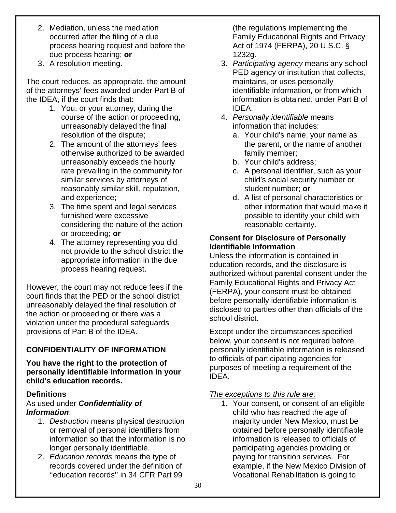- 2. Mediation, unless the mediation occurred after the filing of a due process hearing request and before the due process hearing; **or**
- 3. A resolution meeting.

The court reduces, as appropriate, the amount of the attorneys' fees awarded under Part B of the IDEA, if the court finds that:

- 1. You, or your attorney, during the course of the action or proceeding, unreasonably delayed the final resolution of the dispute;
- 2. The amount of the attorneys' fees otherwise authorized to be awarded unreasonably exceeds the hourly rate prevailing in the community for similar services by attorneys of reasonably similar skill, reputation, and experience;
- 3. The time spent and legal services furnished were excessive considering the nature of the action or proceeding; **or**
- 4. The attorney representing you did not provide to the school district the appropriate information in the due process hearing request.

However, the court may not reduce fees if the court finds that the PED or the school district unreasonably delayed the final resolution of the action or proceeding or there was a violation under the procedural safeguards provisions of Part B of the IDEA.

# **CONFIDENTIALITY OF INFORMATION**

#### **You have the right to the protection of personally identifiable information in your child's education records.**

#### **Definitions**

#### As used under *Confidentiality of Information*:

- 1. *Destruction* means physical destruction or removal of personal identifiers from information so that the information is no longer personally identifiable.
- 2. *Education records* means the type of records covered under the definition of ''education records'' in 34 CFR Part 99

(the regulations implementing the Family Educational Rights and Privacy Act of 1974 (FERPA), 20 U.S.C. § 1232g.

- 3. *Participating agency* means any school PED agency or institution that collects, maintains, or uses personally identifiable information, or from which information is obtained, under Part B of IDEA.
- 4. *Personally identifiable* means information that includes:
	- a. Your child's name, your name as the parent, or the name of another family member;
	- b. Your child's address;
	- c. A personal identifier, such as your child's social security number or student number; **or**
	- d. A list of personal characteristics or other information that would make it possible to identify your child with reasonable certainty.

#### **Consent for Disclosure of Personally Identifiable Information**

Unless the information is contained in education records, and the disclosure is authorized without parental consent under the Family Educational Rights and Privacy Act (FERPA), your consent must be obtained before personally identifiable information is disclosed to parties other than officials of the school district.

Except under the circumstances specified below, your consent is not required before personally identifiable information is released to officials of participating agencies for purposes of meeting a requirement of the IDEA.

#### *The exceptions to this rule are:*

1. Your consent, or consent of an eligible child who has reached the age of majority under New Mexico, must be obtained before personally identifiable information is released to officials of participating agencies providing or paying for transition services. For example, if the New Mexico Division of Vocational Rehabilitation is going to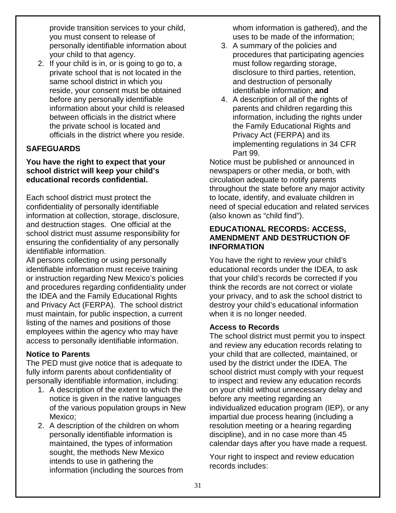provide transition services to your child, you must consent to release of personally identifiable information about your child to that agency.

2. If your child is in, or is going to go to, a private school that is not located in the same school district in which you reside, your consent must be obtained before any personally identifiable information about your child is released between officials in the district where the private school is located and officials in the district where you reside.

# **SAFEGUARDS**

#### **You have the right to expect that your school district will keep your child's educational records confidential.**

Each school district must protect the confidentiality of personally identifiable information at collection, storage, disclosure, and destruction stages. One official at the school district must assume responsibility for ensuring the confidentiality of any personally identifiable information.

All persons collecting or using personally identifiable information must receive training or instruction regarding New Mexico's policies and procedures regarding confidentiality under the IDEA and the Family Educational Rights and Privacy Act (FERPA). The school district must maintain, for public inspection, a current listing of the names and positions of those employees within the agency who may have access to personally identifiable information.

#### **Notice to Parents**

The PED must give notice that is adequate to fully inform parents about confidentiality of personally identifiable information, including:

- 1. A description of the extent to which the notice is given in the native languages of the various population groups in New Mexico;
- 2. A description of the children on whom personally identifiable information is maintained, the types of information sought, the methods New Mexico intends to use in gathering the information (including the sources from

whom information is gathered), and the uses to be made of the information;

- 3. A summary of the policies and procedures that participating agencies must follow regarding storage, disclosure to third parties, retention, and destruction of personally identifiable information; **and**
- 4. A description of all of the rights of parents and children regarding this information, including the rights under the Family Educational Rights and Privacy Act (FERPA) and its implementing regulations in 34 CFR Part 99.

Notice must be published or announced in newspapers or other media, or both, with circulation adequate to notify parents throughout the state before any major activity to locate, identify, and evaluate children in need of special education and related services (also known as "child find").

#### **EDUCATIONAL RECORDS: ACCESS, AMENDMENT AND DESTRUCTION OF INFORMATION**

You have the right to review your child's educational records under the IDEA, to ask that your child's records be corrected if you think the records are not correct or violate your privacy, and to ask the school district to destroy your child's educational information when it is no longer needed.

#### **Access to Records**

The school district must permit you to inspect and review any education records relating to your child that are collected, maintained, or used by the district under the IDEA. The school district must comply with your request to inspect and review any education records on your child without unnecessary delay and before any meeting regarding an individualized education program (IEP), or any impartial due process hearing (including a resolution meeting or a hearing regarding discipline), and in no case more than 45 calendar days after you have made a request.

Your right to inspect and review education records includes: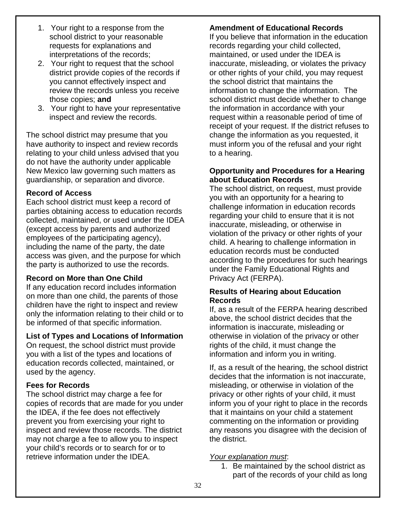- 1. Your right to a response from the school district to your reasonable requests for explanations and interpretations of the records;
- 2. Your right to request that the school district provide copies of the records if you cannot effectively inspect and review the records unless you receive those copies; **and**
- 3. Your right to have your representative inspect and review the records.

The school district may presume that you have authority to inspect and review records relating to your child unless advised that you do not have the authority under applicable New Mexico law governing such matters as guardianship, or separation and divorce.

#### **Record of Access**

Each school district must keep a record of parties obtaining access to education records collected, maintained, or used under the IDEA (except access by parents and authorized employees of the participating agency), including the name of the party, the date access was given, and the purpose for which the party is authorized to use the records.

#### **Record on More than One Child**

If any education record includes information on more than one child, the parents of those children have the right to inspect and review only the information relating to their child or to be informed of that specific information.

#### **List of Types and Locations of Information**

On request, the school district must provide you with a list of the types and locations of education records collected, maintained, or used by the agency.

#### **Fees for Records**

The school district may charge a fee for copies of records that are made for you under the IDEA, if the fee does not effectively prevent you from exercising your right to inspect and review those records. The district may not charge a fee to allow you to inspect your child's records or to search for or to retrieve information under the IDEA.

# **Amendment of Educational Records**

If you believe that information in the education records regarding your child collected, maintained, or used under the IDEA is inaccurate, misleading, or violates the privacy or other rights of your child, you may request the school district that maintains the information to change the information. The school district must decide whether to change the information in accordance with your request within a reasonable period of time of receipt of your request. If the district refuses to change the information as you requested, it must inform you of the refusal and your right to a hearing.

#### **Opportunity and Procedures for a Hearing about Education Records**

The school district, on request, must provide you with an opportunity for a hearing to challenge information in education records regarding your child to ensure that it is not inaccurate, misleading, or otherwise in violation of the privacy or other rights of your child. A hearing to challenge information in education records must be conducted according to the procedures for such hearings under the Family Educational Rights and Privacy Act (FERPA).

#### **Results of Hearing about Education Records**

If, as a result of the FERPA hearing described above, the school district decides that the information is inaccurate, misleading or otherwise in violation of the privacy or other rights of the child, it must change the information and inform you in writing.

If, as a result of the hearing, the school district decides that the information is not inaccurate, misleading, or otherwise in violation of the privacy or other rights of your child, it must inform you of your right to place in the records that it maintains on your child a statement commenting on the information or providing any reasons you disagree with the decision of the district.

#### *Your explanation must*:

1. Be maintained by the school district as part of the records of your child as long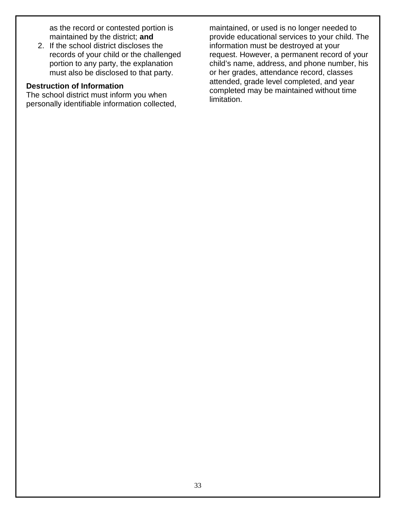as the record or contested portion is maintained by the district; **and** 

2. If the school district discloses the records of your child or the challenged portion to any party, the explanation must also be disclosed to that party.

# **Destruction of Information**

The school district must inform you when personally identifiable information collected,

maintained, or used is no longer needed to provide educational services to your child. The information must be destroyed at your request. However, a permanent record of your child's name, address, and phone number, his or her grades, attendance record, classes attended, grade level completed, and year completed may be maintained without time limitation.